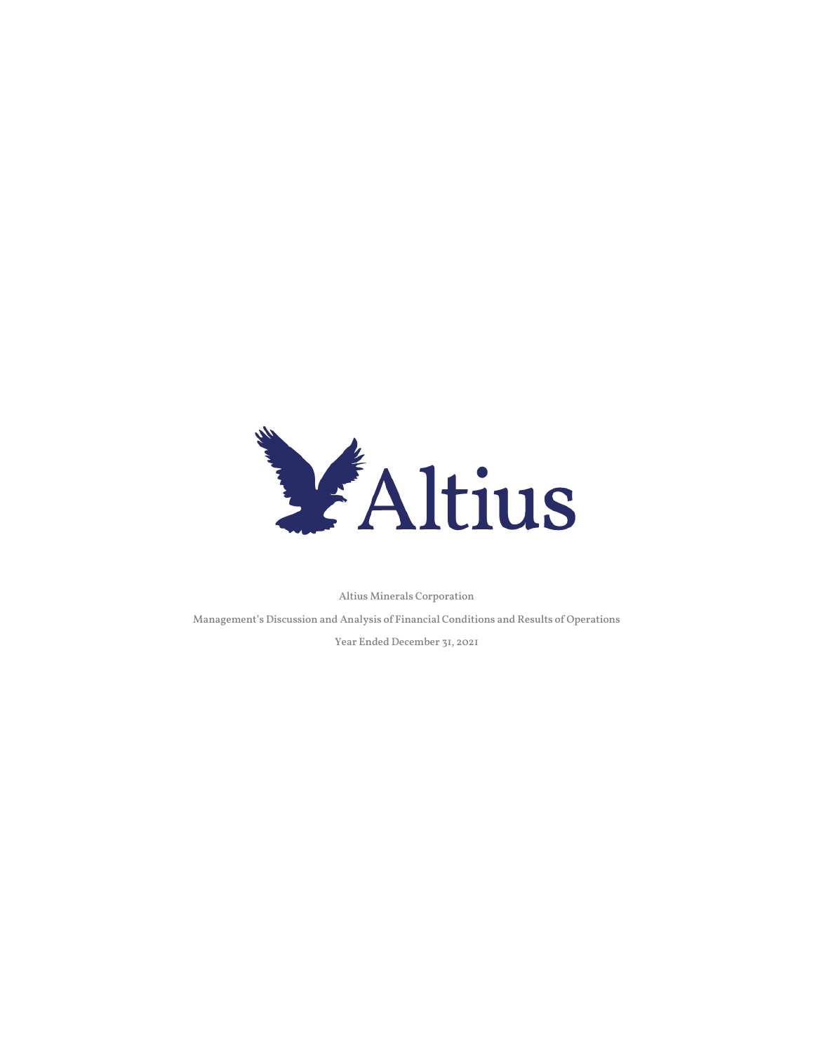

Altius Minerals Corporation

Management's Discussion and Analysis of Financial Conditions and Results of Operations Year Ended December 31, 2021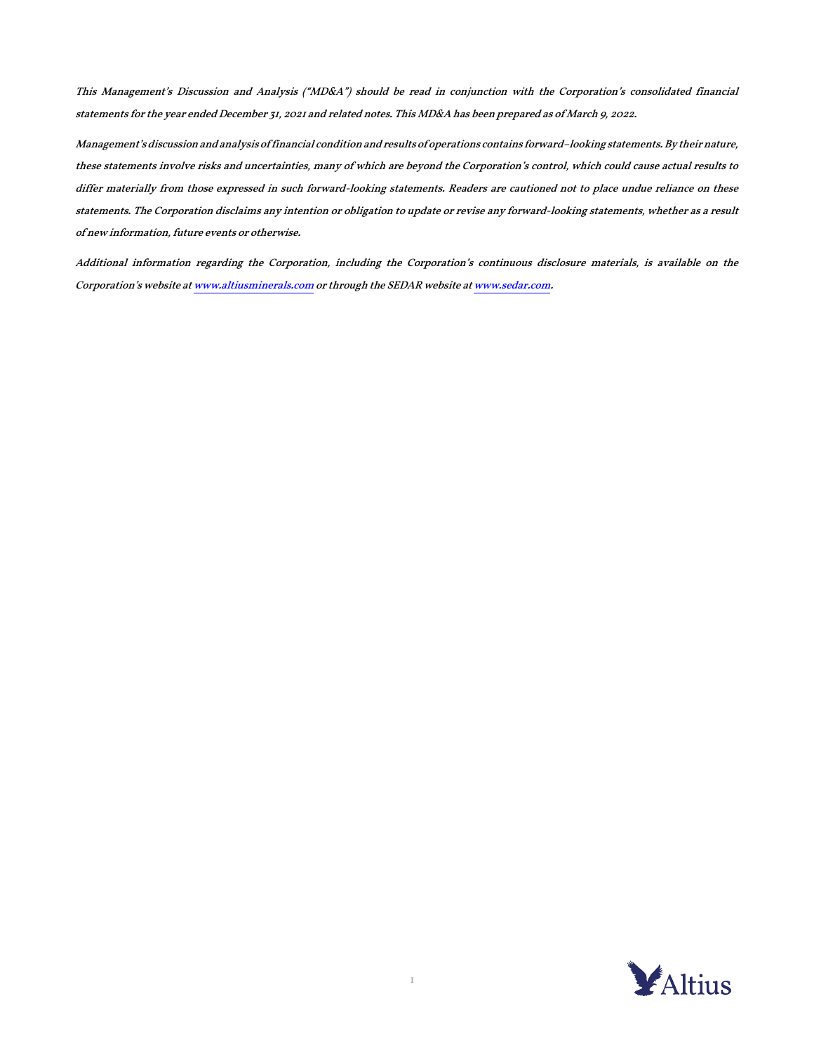This Management's Discussion and Analysis ("MD&A") should be read in conjunction with the Corporation's consolidated financial statements for the year ended December 31, 2021 and related notes. This MD&A has been prepared as of March 9, 2022.

Management's discussion and analysis of financial condition and results of operations contains forward–looking statements. By their nature, these statements involve risks and uncertainties, many of which are beyond the Corporation's control, which could cause actual results to differ materially from those expressed in such forward-looking statements. Readers are cautioned not to place undue reliance on these statements. The Corporation disclaims any intention or obligation to update or revise any forward-looking statements, whether as a result of new information, future events or otherwise.

Additional information regarding the Corporation, including the Corporation's continuous disclosure materials, is available on the Corporation's website a[t www.altiusminerals.com](http://www.altiusminerals.com/) or through the SEDAR website a[t www.sedar.com.](http://www.sedar.com/)

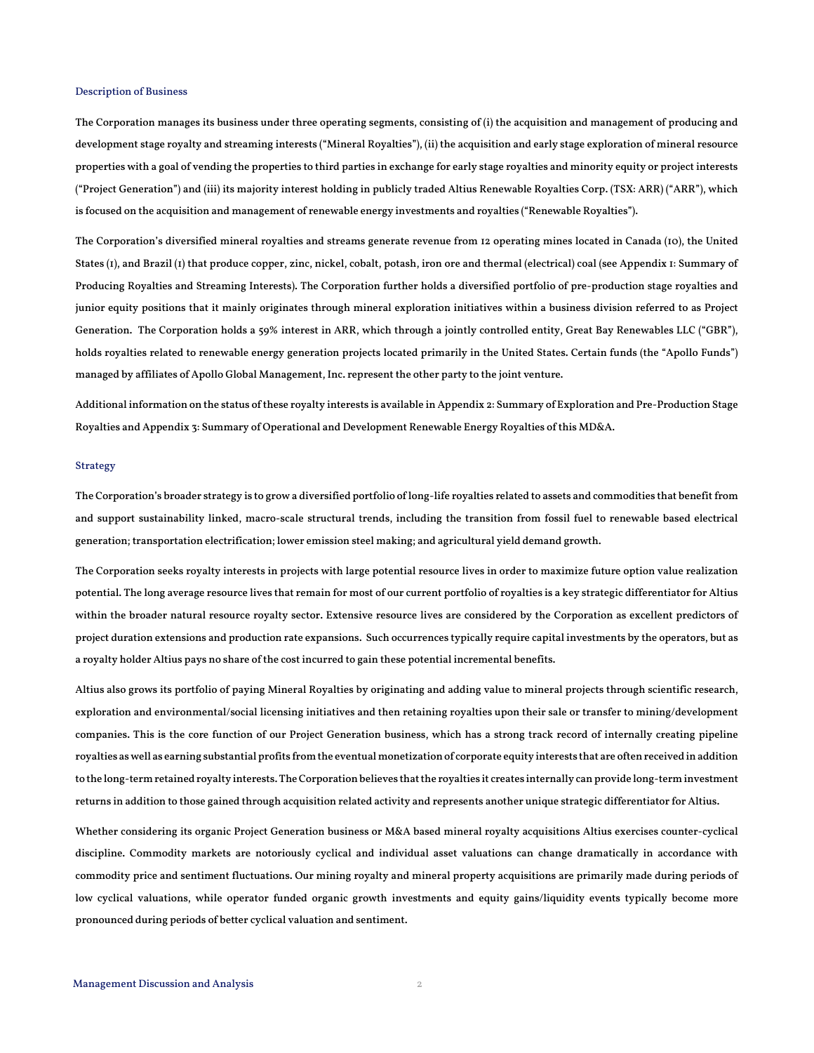### Description of Business

The Corporation manages its business under three operating segments, consisting of (i) the acquisition and management of producing and development stage royalty and streaming interests ("Mineral Royalties"), (ii) the acquisition and early stage exploration of mineral resource properties with a goal of vending the properties to third parties in exchange for early stage royalties and minority equity or project interests ("Project Generation") and (iii) its majority interest holding in publicly traded Altius Renewable Royalties Corp. (TSX: ARR) ("ARR"), which is focused on the acquisition and management of renewable energy investments and royalties ("Renewable Royalties").

The Corporation's diversified mineral royalties and streams generate revenue from 12 operating mines located in Canada (10), the United States (1), and Brazil (1) that produce copper, zinc, nickel, cobalt, potash, iron ore and thermal (electrical) coal (see Appendix 1: Summary of Producing Royalties and Streaming Interests). The Corporation further holds a diversified portfolio of pre-production stage royalties and junior equity positions that it mainly originates through mineral exploration initiatives within a business division referred to as Project Generation. The Corporation holds a 59% interest in ARR, which through a jointly controlled entity, Great Bay Renewables LLC ("GBR"), holds royalties related to renewable energy generation projects located primarily in the United States. Certain funds (the "Apollo Funds") managed by affiliates of Apollo Global Management, Inc. represent the other party to the joint venture.

Additional information on the status of these royalty interests is available in Appendix 2: Summary of Exploration and Pre-Production Stage Royalties and Appendix 3: Summary of Operational and Development Renewable Energy Royalties of this MD&A.

### Strategy

The Corporation's broader strategy is to grow a diversified portfolio of long-life royalties related to assets and commodities that benefit from and support sustainability linked, macro-scale structural trends, including the transition from fossil fuel to renewable based electrical generation; transportation electrification; lower emission steel making; and agricultural yield demand growth.

The Corporation seeks royalty interests in projects with large potential resource lives in order to maximize future option value realization potential. The long average resource lives that remain for most of our current portfolio of royalties is a key strategic differentiator for Altius within the broader natural resource royalty sector. Extensive resource lives are considered by the Corporation as excellent predictors of project duration extensions and production rate expansions. Such occurrences typically require capital investments by the operators, but as a royalty holder Altius pays no share of the cost incurred to gain these potential incremental benefits.

Altius also grows its portfolio of paying Mineral Royalties by originating and adding value to mineral projects through scientific research, exploration and environmental/social licensing initiatives and then retaining royalties upon their sale or transfer to mining/development companies. This is the core function of our Project Generation business, which has a strong track record of internally creating pipeline royalties as well as earning substantial profits from the eventual monetization of corporate equity interests that are often received in addition to the long-termretained royalty interests. The Corporation believes that the royalties it creates internally can provide long-term investment returns in addition to those gained through acquisition related activity and represents another unique strategic differentiator for Altius.

Whether considering its organic Project Generation business or M&A based mineral royalty acquisitions Altius exercises counter-cyclical discipline. Commodity markets are notoriously cyclical and individual asset valuations can change dramatically in accordance with commodity price and sentiment fluctuations. Our mining royalty and mineral property acquisitions are primarily made during periods of low cyclical valuations, while operator funded organic growth investments and equity gains/liquidity events typically become more pronounced during periods of better cyclical valuation and sentiment.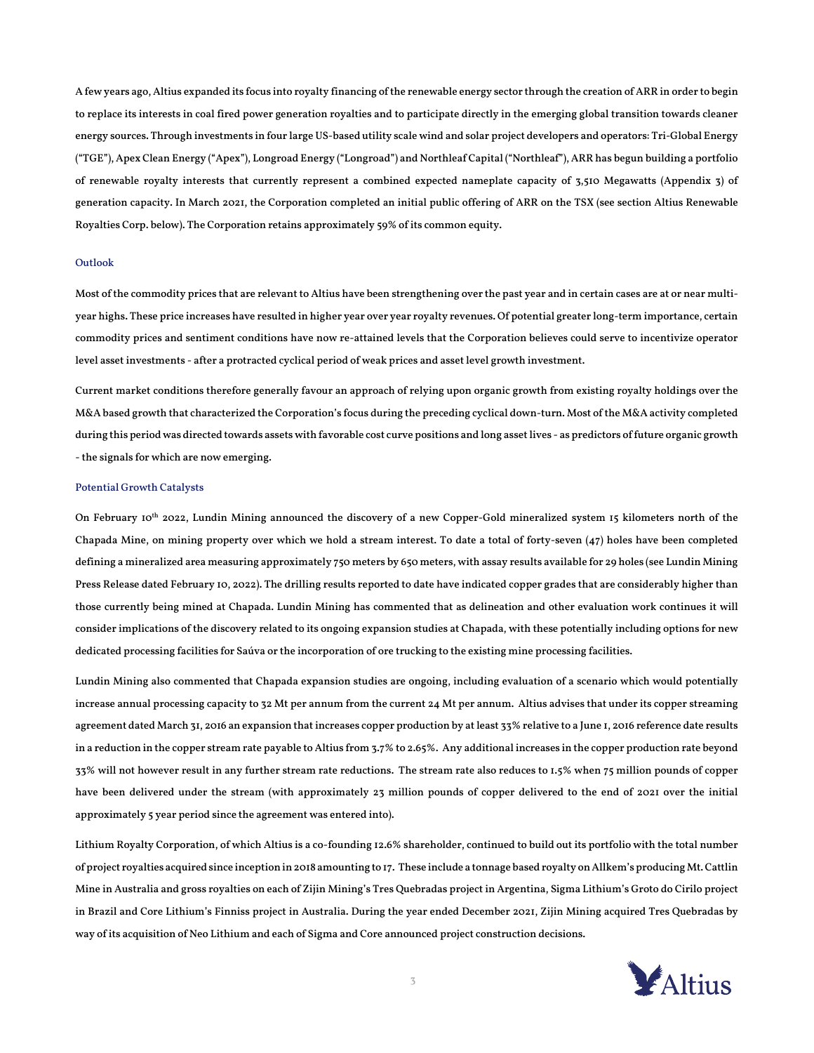A few years ago, Altius expanded its focus into royalty financing of the renewable energy sector through the creation of ARR in order to begin to replace its interests in coal fired power generation royalties and to participate directly in the emerging global transition towards cleaner energy sources. Through investments in four large US-based utility scale wind and solar project developers and operators: Tri-Global Energy ("TGE"), Apex Clean Energy ("Apex"), Longroad Energy ("Longroad") and Northleaf Capital ("Northleaf"), ARR has begun building a portfolio of renewable royalty interests that currently represent a combined expected nameplate capacity of 3,510 Megawatts (Appendix 3) of generation capacity. In March 2021, the Corporation completed an initial public offering of ARR on the TSX (see section Altius Renewable Royalties Corp. below). The Corporation retains approximately 59% of its common equity.

### **Outlook**

Most of the commodity prices that are relevant to Altius have been strengthening over the past year and in certain cases are at or near multiyear highs. These price increases have resulted in higher year over year royalty revenues. Of potential greater long-term importance, certain commodity prices and sentiment conditions have now re-attained levels that the Corporation believes could serve to incentivize operator level asset investments - after a protracted cyclical period of weak prices and asset level growth investment.

Current market conditions therefore generally favour an approach of relying upon organic growth from existing royalty holdings over the M&A based growth that characterized the Corporation's focus during the preceding cyclical down-turn. Most of the M&A activity completed during this period was directed towards assets with favorable cost curve positions and long asset lives - as predictors of future organic growth - the signals for which are now emerging.

### Potential Growth Catalysts

On February 10<sup>th</sup> 2022, Lundin Mining announced the discovery of a new Copper-Gold mineralized system 15 kilometers north of the Chapada Mine, on mining property over which we hold a stream interest. To date a total of forty-seven (47) holes have been completed defining a mineralized area measuring approximately 750 meters by 650 meters, with assay results available for 29 holes (see Lundin Mining Press Release dated February 10, 2022). The drilling results reported to date have indicated copper grades that are considerably higher than those currently being mined at Chapada. Lundin Mining has commented that as delineation and other evaluation work continues it will consider implications of the discovery related to its ongoing expansion studies at Chapada, with these potentially including options for new dedicated processing facilities for Saúva or the incorporation of ore trucking to the existing mine processing facilities.

Lundin Mining also commented that Chapada expansion studies are ongoing, including evaluation of a scenario which would potentially increase annual processing capacity to 32 Mt per annum from the current 24 Mt per annum. Altius advises that under its copper streaming agreement dated March 31, 2016 an expansion that increases copper production by at least 33% relative to a June 1, 2016 reference date results in a reduction in the copper stream rate payable to Altius from 3.7% to 2.65%. Any additional increases in the copper production rate beyond 33% will not however result in any further stream rate reductions. The stream rate also reduces to 1.5% when 75 million pounds of copper have been delivered under the stream (with approximately 23 million pounds of copper delivered to the end of 2021 over the initial approximately 5 year period since the agreement was entered into).

Lithium Royalty Corporation, of which Altius is a co-founding 12.6% shareholder, continued to build out its portfolio with the total number of project royalties acquired since inception in 2018 amounting to 17. These include a tonnage based royalty on Allkem's producing Mt. Cattlin Mine in Australia and gross royalties on each of Zijin Mining's Tres Quebradas project in Argentina, Sigma Lithium's Groto do Cirilo project in Brazil and Core Lithium's Finniss project in Australia. During the year ended December 2021, Zijin Mining acquired Tres Quebradas by way of its acquisition of Neo Lithium and each of Sigma and Core announced project construction decisions.

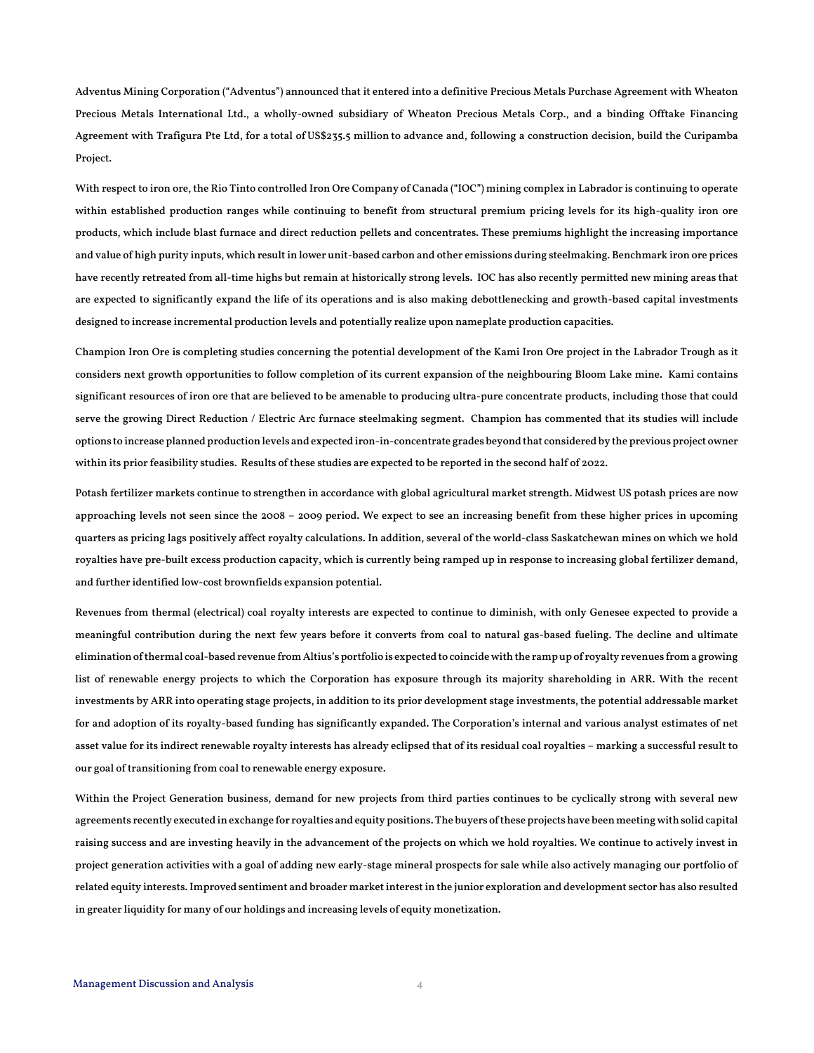Adventus Mining Corporation ("Adventus") announced that it entered into a definitive Precious Metals Purchase Agreement with Wheaton Precious Metals International Ltd., a wholly-owned subsidiary of Wheaton Precious Metals Corp., and a binding Offtake Financing Agreement with Trafigura Pte Ltd, for a total of US\$235.5 million to advance and, following a construction decision, build the Curipamba Project.

With respect to iron ore, the Rio Tinto controlled Iron Ore Company of Canada ("IOC") mining complex in Labrador is continuing to operate within established production ranges while continuing to benefit from structural premium pricing levels for its high-quality iron ore products, which include blast furnace and direct reduction pellets and concentrates. These premiums highlight the increasing importance and value of high purity inputs, which result in lower unit-based carbon and other emissions during steelmaking. Benchmark iron ore prices have recently retreated from all-time highs but remain at historically strong levels. IOC has also recently permitted new mining areas that are expected to significantly expand the life of its operations and is also making debottlenecking and growth-based capital investments designed to increase incremental production levels and potentially realize upon nameplate production capacities.

Champion Iron Ore is completing studies concerning the potential development of the Kami Iron Ore project in the Labrador Trough as it considers next growth opportunities to follow completion of its current expansion of the neighbouring Bloom Lake mine. Kami contains significant resources of iron ore that are believed to be amenable to producing ultra-pure concentrate products, including those that could serve the growing Direct Reduction / Electric Arc furnace steelmaking segment. Champion has commented that its studies will include options to increase planned production levels and expected iron-in-concentrate grades beyond that considered by the previous project owner within its prior feasibility studies. Results of these studies are expected to be reported in the second half of 2022.

Potash fertilizer markets continue to strengthen in accordance with global agricultural market strength. Midwest US potash prices are now approaching levels not seen since the 2008 – 2009 period. We expect to see an increasing benefit from these higher prices in upcoming quarters as pricing lags positively affect royalty calculations. In addition, several of the world-class Saskatchewan mines on which we hold royalties have pre-built excess production capacity, which is currently being ramped up in response to increasing global fertilizer demand, and further identified low-cost brownfields expansion potential.

Revenues from thermal (electrical) coal royalty interests are expected to continue to diminish, with only Genesee expected to provide a meaningful contribution during the next few years before it converts from coal to natural gas-based fueling. The decline and ultimate elimination of thermal coal-based revenue from Altius's portfolio is expected to coincide with the ramp up of royalty revenues from a growing list of renewable energy projects to which the Corporation has exposure through its majority shareholding in ARR. With the recent investments by ARR into operating stage projects, in addition to its prior development stage investments, the potential addressable market for and adoption of its royalty-based funding has significantly expanded. The Corporation's internal and various analyst estimates of net asset value for its indirect renewable royalty interests has already eclipsed that of its residual coal royalties – marking a successful result to our goal of transitioning from coal to renewable energy exposure.

Within the Project Generation business, demand for new projects from third parties continues to be cyclically strong with several new agreements recently executed in exchange for royalties and equity positions. The buyers of these projects have been meeting with solid capital raising success and are investing heavily in the advancement of the projects on which we hold royalties. We continue to actively invest in project generation activities with a goal of adding new early-stage mineral prospects for sale while also actively managing our portfolio of related equity interests. Improved sentiment and broader market interest in the junior exploration and development sector has also resulted in greater liquidity for many of our holdings and increasing levels of equity monetization.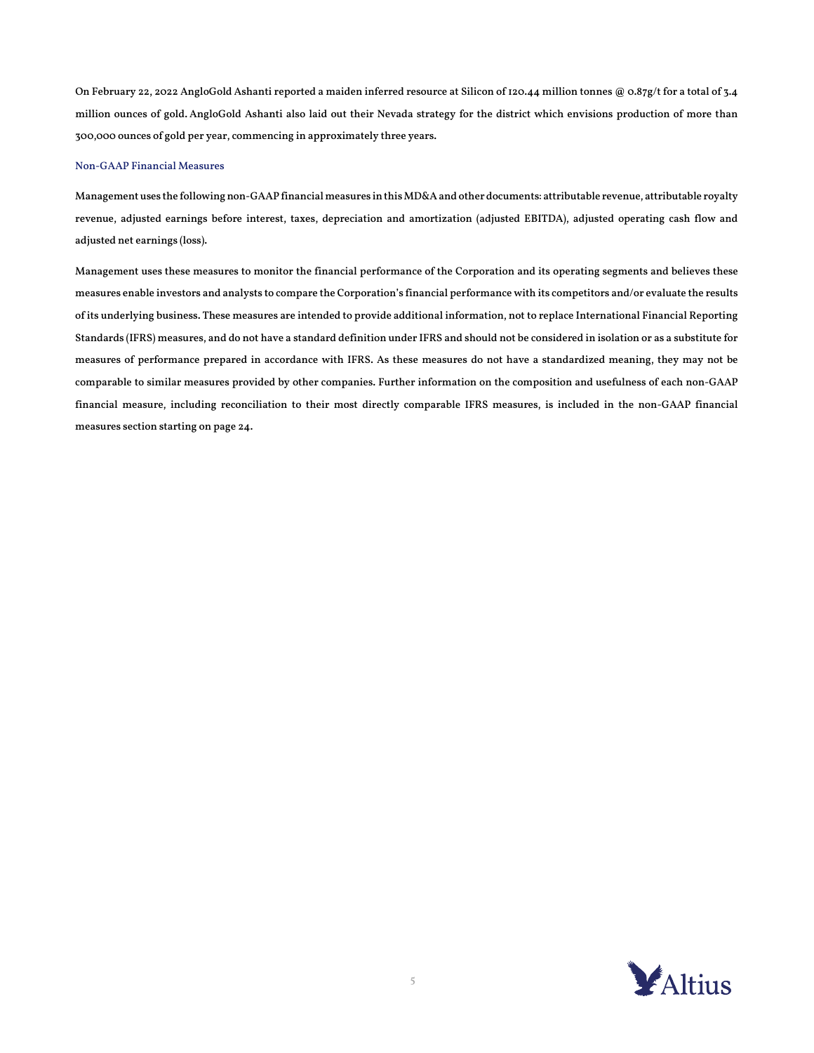On February 22, 2022 AngloGold Ashanti reported a maiden inferred resource at Silicon of 120.44 million tonnes @ 0.87g/t for a total of 3.4 million ounces of gold. AngloGold Ashanti also laid out their Nevada strategy for the district which envisions production of more than 300,000 ounces of gold per year, commencing in approximately three years.

# Non-GAAP Financial Measures

Management uses the following non-GAAPfinancial measures in this MD&A and other documents: attributable revenue, attributable royalty revenue, adjusted earnings before interest, taxes, depreciation and amortization (adjusted EBITDA), adjusted operating cash flow and adjusted net earnings (loss).

Management uses these measures to monitor the financial performance of the Corporation and its operating segments and believes these measures enable investors and analysts to compare the Corporation's financial performance with its competitors and/or evaluate the results of its underlying business. These measures are intended to provide additional information, not to replace International Financial Reporting Standards (IFRS) measures, and do not have a standard definition under IFRS and should not be considered in isolation or as a substitute for measures of performance prepared in accordance with IFRS. As these measures do not have a standardized meaning, they may not be comparable to similar measures provided by other companies. Further information on the composition and usefulness of each non-GAAP financial measure, including reconciliation to their most directly comparable IFRS measures, is included in the non-GAAP financial measures section starting on page 24.

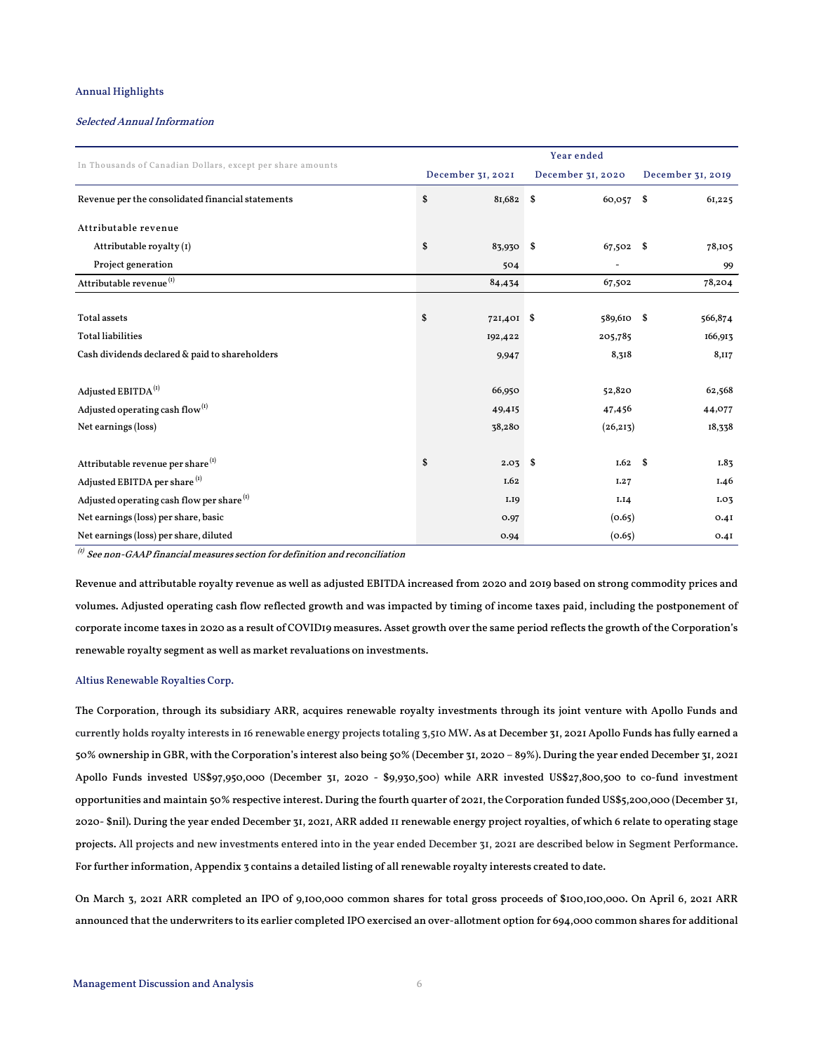# Annual Highlights

# Selected Annual Information

| In Thousands of Canadian Dollars, except per share amounts | Year ended |                   |  |                   |  |                   |  |  |  |
|------------------------------------------------------------|------------|-------------------|--|-------------------|--|-------------------|--|--|--|
|                                                            |            | December 31, 2021 |  | December 31, 2020 |  | December 31, 2019 |  |  |  |
| Revenue per the consolidated financial statements          | \$         | 81,682 \$         |  | $60,057$ \$       |  | 61,225            |  |  |  |
| Attributable revenue                                       |            |                   |  |                   |  |                   |  |  |  |
| Attributable royalty (I)                                   | \$         | 83,930 \$         |  | 67,502 \$         |  | 78,105            |  |  |  |
| Project generation                                         |            | 504               |  | ٠                 |  | 99                |  |  |  |
| Attributable revenue <sup>(1)</sup>                        |            | 84,434            |  | 67,502            |  | 78,204            |  |  |  |
|                                                            |            |                   |  |                   |  |                   |  |  |  |
| <b>Total assets</b>                                        | \$         | 721,401 \$        |  | 589,610 \$        |  | 566,874           |  |  |  |
| <b>Total liabilities</b>                                   |            | 192,422           |  | 205,785           |  | 166,913           |  |  |  |
| Cash dividends declared & paid to shareholders             |            | 9,947             |  | 8,318             |  | 8,117             |  |  |  |
| Adjusted EBITDA <sup>(1)</sup>                             |            | 66,950            |  | 52,820            |  | 62,568            |  |  |  |
| Adjusted operating cash flow $^{(1)}$                      |            | 49,415            |  | 47,456            |  | 44,077            |  |  |  |
| Net earnings (loss)                                        |            | 38,280            |  | (26, 213)         |  | 18,338            |  |  |  |
|                                                            |            |                   |  |                   |  |                   |  |  |  |
| Attributable revenue per share <sup>(1)</sup>              | \$         | $2.03$ \$         |  | 1.62 <sup>5</sup> |  | I.83              |  |  |  |
| Adjusted EBITDA per share (1)                              |            | I.62              |  | I.27              |  | I.46              |  |  |  |
| Adjusted operating cash flow per share $(1)$               |            | I.19              |  | I.I4              |  | I.03              |  |  |  |
| Net earnings (loss) per share, basic                       |            | 0.97              |  | (0.65)            |  | 0.4I              |  |  |  |
| Net earnings (loss) per share, diluted                     |            | 0.94              |  | (0.65)            |  | 0.4I              |  |  |  |

 $^{(\text{\it t})}$  See non-GAAP financial measures section for definition and reconciliation

Revenue and attributable royalty revenue as well as adjusted EBITDA increased from 2020 and 2019 based on strong commodity prices and volumes. Adjusted operating cash flow reflected growth and was impacted by timing of income taxes paid, including the postponement of corporate income taxes in 2020 as a result of COVID19 measures. Asset growth over the same period reflects the growth of the Corporation's renewable royalty segment as well as market revaluations on investments.

## Altius Renewable Royalties Corp.

The Corporation, through its subsidiary ARR, acquires renewable royalty investments through its joint venture with Apollo Funds and currently holds royalty interests in 16 renewable energy projects totaling 3,510 MW. As at December 31, 2021 Apollo Funds has fully earned a 50% ownership in GBR, with the Corporation's interest also being 50% (December 31, 2020 – 89%). During the year ended December 31, 2021 Apollo Funds invested US\$97,950,000 (December 31, 2020 - \$9,930,500) while ARR invested US\$27,800,500 to co-fund investment opportunities and maintain 50% respective interest. During the fourth quarter of 2021, the Corporation funded US\$5,200,000 (December 31, 2020- \$nil). During the year ended December 31, 2021, ARR added 11 renewable energy project royalties, of which 6 relate to operating stage projects. All projects and new investments entered into in the year ended December 31, 2021 are described below in Segment Performance. For further information, Appendix 3 contains a detailed listing of all renewable royalty interests created to date.

On March 3, 2021 ARR completed an IPO of 9,100,000 common shares for total gross proceeds of \$100,100,000. On April 6, 2021 ARR announced that the underwriters to its earlier completed IPO exercised an over-allotment option for 694,000 common shares for additional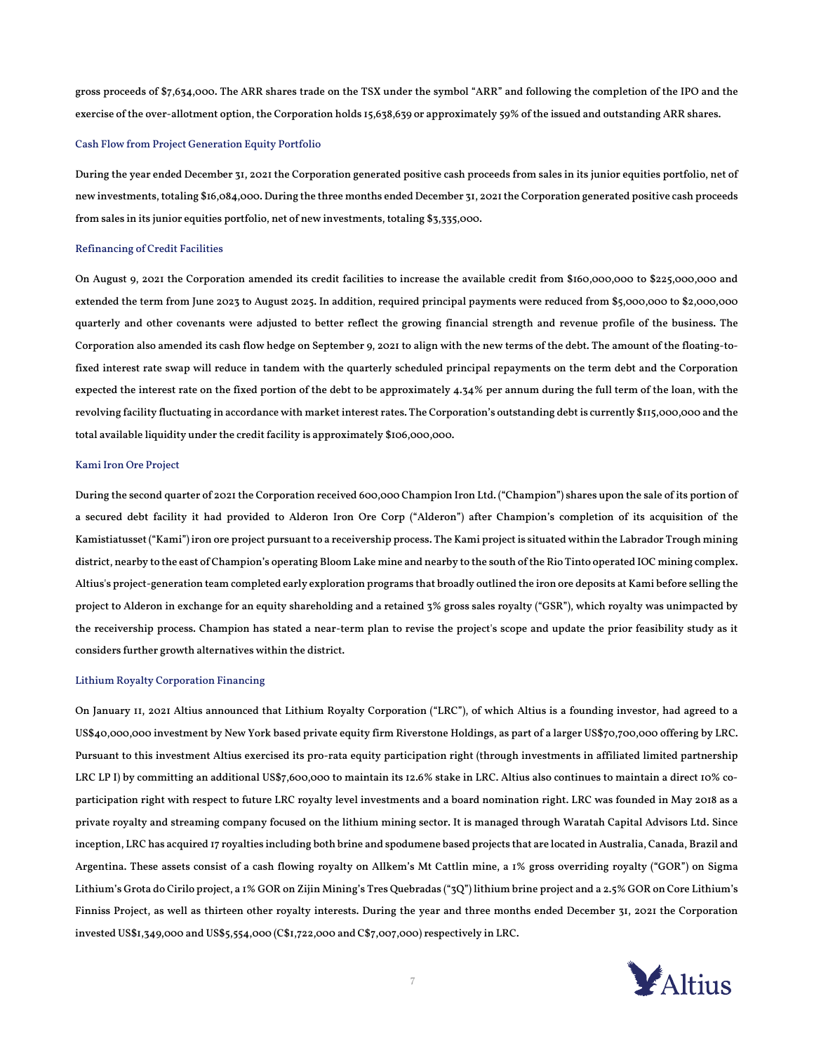gross proceeds of \$7,634,000. The ARR shares trade on the TSX under the symbol "ARR" and following the completion of the IPO and the exercise of the over-allotment option, the Corporation holds 15,638,639 or approximately 59% of the issued and outstanding ARR shares.

# Cash Flow from Project Generation Equity Portfolio

During the year ended December 31, 2021 the Corporation generated positive cash proceeds from sales in its junior equities portfolio, net of new investments, totaling \$16,084,000. During the three months ended December 31, 2021 the Corporation generated positive cash proceeds from sales in its junior equities portfolio, net of new investments, totaling \$3,335,000.

### Refinancing of Credit Facilities

On August 9, 2021 the Corporation amended its credit facilities to increase the available credit from \$160,000,000 to \$225,000,000 and extended the term from June 2023 to August 2025. In addition, required principal payments were reduced from \$5,000,000 to \$2,000,000 quarterly and other covenants were adjusted to better reflect the growing financial strength and revenue profile of the business. The Corporation also amended its cash flow hedge on September 9, 2021 to align with the new terms of the debt. The amount of the floating-tofixed interest rate swap will reduce in tandem with the quarterly scheduled principal repayments on the term debt and the Corporation expected the interest rate on the fixed portion of the debt to be approximately 4.34% per annum during the full term of the loan, with the revolving facility fluctuating in accordance with market interest rates. The Corporation's outstanding debt is currently \$115,000,000 and the total available liquidity under the credit facility is approximately \$106,000,000.

### Kami Iron Ore Project

During the second quarter of 2021the Corporation received 600,000 Champion Iron Ltd. ("Champion") shares upon the sale of its portion of a secured debt facility it had provided to Alderon Iron Ore Corp ("Alderon") after Champion's completion of its acquisition of the Kamistiatusset ("Kami") iron ore project pursuant to a receivership process. The Kami project is situated within the Labrador Trough mining district, nearby to the east of Champion's operating Bloom Lake mine and nearby to the south of the Rio Tinto operated IOC mining complex. Altius's project-generation team completed early exploration programs that broadly outlined the iron ore deposits at Kami before selling the project to Alderon in exchange for an equity shareholding and a retained 3% gross sales royalty ("GSR"), which royalty was unimpacted by the receivership process. Champion has stated a near-term plan to revise the project's scope and update the prior feasibility study as it considers further growth alternatives within the district.

# Lithium Royalty Corporation Financing

On January 11, 2021 Altius announced that Lithium Royalty Corporation ("LRC"), of which Altius is a founding investor, had agreed to a US\$40,000,000 investment by New York based private equity firm Riverstone Holdings, as part of a larger US\$70,700,000 offering by LRC. Pursuant to this investment Altius exercised its pro-rata equity participation right (through investments in affiliated limited partnership LRC LP I) by committing an additional US\$7,600,000 to maintain its 12.6% stake in LRC. Altius also continues to maintain a direct 10% coparticipation right with respect to future LRC royalty level investments and a board nomination right. LRC was founded in May 2018 as a private royalty and streaming company focused on the lithium mining sector. It is managed through Waratah Capital Advisors Ltd. Since inception, LRC has acquired 17 royalties including both brine and spodumene based projects that are located in Australia, Canada, Brazil and Argentina. These assets consist of a cash flowing royalty on Allkem's Mt Cattlin mine, a 1% gross overriding royalty ("GOR") on Sigma Lithium's Grota do Cirilo project, a 1% GOR on Zijin Mining's Tres Quebradas ("3Q") lithium brine project and a 2.5% GOR on Core Lithium's Finniss Project, as well as thirteen other royalty interests. During the year and three months ended December 31, 2021 the Corporation invested US\$1,349,000 and US\$5,554,000 (C\$1,722,000 and C\$7,007,000) respectively in LRC.

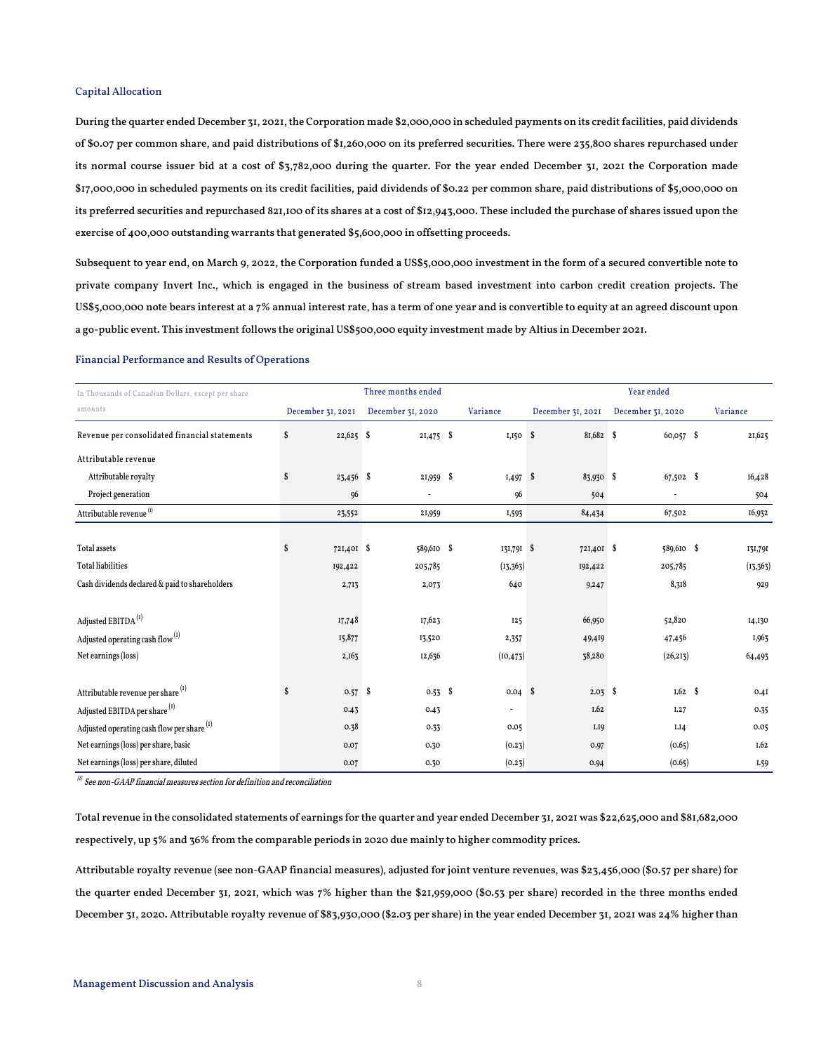# Capital Allocation

During the quarter ended December 31, 2021, the Corporation made \$2,000,000 in scheduled payments on its credit facilities, paid dividends of \$0.07 per common share, and paid distributions of \$1,260,000 on its preferred securities. There were 235,800 shares repurchased under its normal course issuer bid at a cost of \$3,782,000 during the quarter. For the year ended December 31, 2021 the Corporation made \$17,000,000 in scheduled payments on its credit facilities, paid dividends of \$0.22 per common share, paid distributions of \$5,000,000 on its preferred securities and repurchased 821,100 of its shares at a cost of \$12,943,000. These included the purchase of shares issued upon the exercise of 400,000 outstanding warrants that generated \$5,600,000 in offsetting proceeds.

Subsequent to year end, on March 9, 2022, the Corporation funded a US\$5,000,000 investment in the form of a secured convertible note to private company Invert Inc., which is engaged in the business of stream based investment into carbon credit creation projects. The US\$5,000,000 note bears interest at a 7% annual interest rate, has a term of one year and is convertible to equity at an agreed discount upon a go-public event. This investment follows the original US\$500,000 equity investment made by Altius in December 2021.

| In Thousands of Canadian Dollars, except per share |                    | Three months ended       | Year ended |                   |                   |           |           |  |  |
|----------------------------------------------------|--------------------|--------------------------|------------|-------------------|-------------------|-----------|-----------|--|--|
| amounts                                            | December 31, 2021  | December 31, 2020        | Variance   | December 31, 2021 | December 31, 2020 |           | Variance  |  |  |
| Revenue per consolidated financial statements      | \$<br>$22,625$ \$  | $2I,475$ \$              | $I,I50$ \$ | 81,682 \$         | 60,057 \$         |           | 21,625    |  |  |
| Attributable revenue                               |                    |                          |            |                   |                   |           |           |  |  |
| Attributable royalty                               | 23,456 \$<br>S     | 21,959 \$                | I,497      | -\$<br>83,930 \$  | $67,502$ \$       |           | 16,428    |  |  |
| Project generation                                 | 96                 | $\overline{\phantom{a}}$ | 96         | 504               |                   |           | 504       |  |  |
| Attributable revenue (1)                           | 23,552             | 21,959                   | I,593      | 84,434            | 67,502            |           | 16,932    |  |  |
| Total assets                                       | \$<br>$72I,40I$ \$ | 589,610 \$               | 131,791 \$ | 721,401 \$        | 589,610 \$        |           | 131,791   |  |  |
| <b>Total liabilities</b>                           | 192,422            | 205,785                  | (13, 363)  | 192,422           | 205,785           |           | (13, 363) |  |  |
| Cash dividends declared & paid to shareholders     | 2,713              | 2,073                    | 640        | 9,247             | 8,318             |           | 929       |  |  |
| Adjusted EBITDA <sup>(1)</sup>                     | 17,748             | 17,623                   | I25        | 66,950            | 52,820            |           | 14,130    |  |  |
| Adjusted operating cash flow (1)                   | 15,877             | 13,520                   | 2,357      | 49,419            | 47,456            |           | 1,963     |  |  |
| Net earnings (loss)                                | 2,163              | 12,636                   | (10, 473)  | 38,280            | (26, 213)         |           | 64,493    |  |  |
| Attributable revenue per share <sup>(1)</sup>      | $0.57$ \$          | $0.53$ \$                | 0.04       | -S<br>$2.03$ \$   |                   | $I.62$ \$ | 0.4I      |  |  |
| Adjusted EBITDA per share (1)                      | 0.43               | 0.43                     | ٠          | I.62              | 1.27              |           | 0.35      |  |  |
| Adjusted operating cash flow per share (1)         | 0.38               | 0.33                     | 0.05       | I.I9              | I.I4              |           | 0.05      |  |  |
| Net earnings (loss) per share, basic               | 0.07               | 0.30                     | (0.23)     | 0.97              | (0.65)            |           | I.62      |  |  |
| Net earnings (loss) per share, diluted             | 0.07               | 0.30                     | (0.23)     | 0.94              | (0.65)            |           | I.59      |  |  |

### Financial Performance and Results of Operations

 $^{(1)}$  See non-GAAP financial measures section for definition and reconciliation

Total revenue in the consolidated statements of earnings for the quarter and year ended December 31, 2021 was \$22,625,000 and \$81,682,000 respectively, up 5% and 36% from the comparable periods in 2020 due mainly to higher commodity prices.

Attributable royalty revenue (see non-GAAP financial measures), adjusted for joint venture revenues, was \$23,456,000 (\$0.57 per share) for the quarter ended December 31, 2021, which was 7% higher than the \$21,959,000 (\$0.53 per share) recorded in the three months ended December 31, 2020. Attributable royalty revenue of \$83,930,000 (\$2.03 per share) in the year ended December 31, 2021 was 24% higher than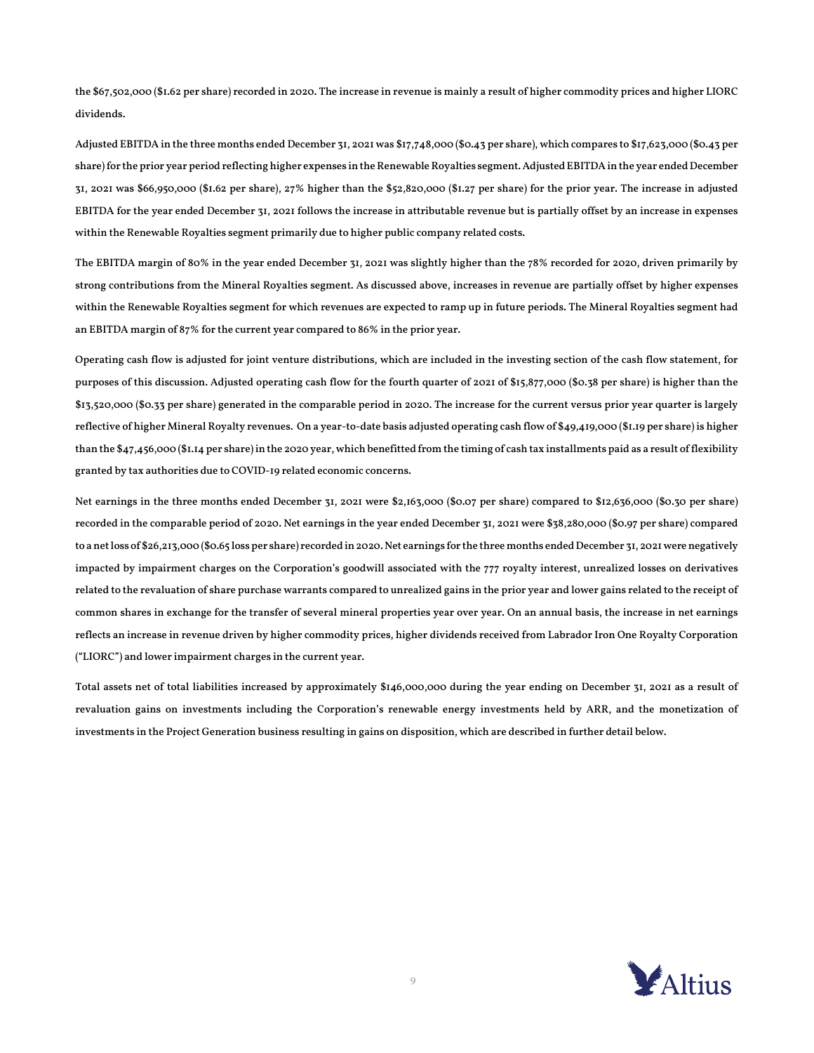the \$67,502,000 (\$1.62 per share) recorded in 2020. The increase in revenue is mainly a result of higher commodity prices and higher LIORC dividends.

Adjusted EBITDA in the three months ended December 31, 2021 was \$17,748,000 (\$0.43 per share), which compares to \$17,623,000 (\$0.43 per share) for the prior year period reflecting higher expenses in the Renewable Royalties segment. Adjusted EBITDA in the year ended December 31, 2021 was \$66,950,000 (\$1.62 per share), 27% higher than the \$52,820,000 (\$1.27 per share) for the prior year. The increase in adjusted EBITDA for the year ended December 31, 2021 follows the increase in attributable revenue but is partially offset by an increase in expenses within the Renewable Royalties segment primarily due to higher public company related costs.

The EBITDA margin of 80% in the year ended December 31, 2021 was slightly higher than the 78% recorded for 2020, driven primarily by strong contributions from the Mineral Royalties segment. As discussed above, increases in revenue are partially offset by higher expenses within the Renewable Royalties segment for which revenues are expected to ramp up in future periods. The Mineral Royalties segment had an EBITDA margin of 87% for the current year compared to 86% in the prior year.

Operating cash flow is adjusted for joint venture distributions, which are included in the investing section of the cash flow statement, for purposes of this discussion. Adjusted operating cash flow for the fourth quarter of 2021 of \$15,877,000 (\$0.38 per share) is higher than the \$13,520,000 (\$0.33 per share) generated in the comparable period in 2020. The increase for the current versus prior year quarter is largely reflective of higher Mineral Royalty revenues. On a year-to-date basis adjusted operating cash flow of \$49,419,000 (\$1.19 per share) is higher than the \$47,456,000 (\$1.14 per share) in the 2020 year, which benefitted from the timing of cash tax installmentspaid as a result of flexibility granted by tax authorities due to COVID-19 related economic concerns.

Net earnings in the three months ended December 31, 2021 were \$2,163,000 (\$0.07 per share) compared to \$12,636,000 (\$0.30 per share) recorded in the comparable period of 2020. Net earnings in the year ended December 31, 2021 were \$38,280,000 (\$0.97 per share) compared to a net loss of \$26,213,000 (\$0.65 loss per share) recorded in 2020. Net earnings for the three months ended December 31, 2021were negatively impacted by impairment charges on the Corporation's goodwill associated with the 777 royalty interest, unrealized losses on derivatives related to the revaluation of share purchase warrants compared to unrealized gains in the prior year and lower gains related to the receipt of common shares in exchange for the transfer of several mineral properties year over year. On an annual basis, the increase in net earnings reflects an increase in revenue driven by higher commodity prices, higher dividends received from Labrador Iron One Royalty Corporation ("LIORC") and lower impairment charges in the current year.

Total assets net of total liabilities increased by approximately \$146,000,000 during the year ending on December 31, 2021 as a result of revaluation gains on investments including the Corporation's renewable energy investments held by ARR, and the monetization of investments in the Project Generation business resulting in gains on disposition, which are described in further detail below.

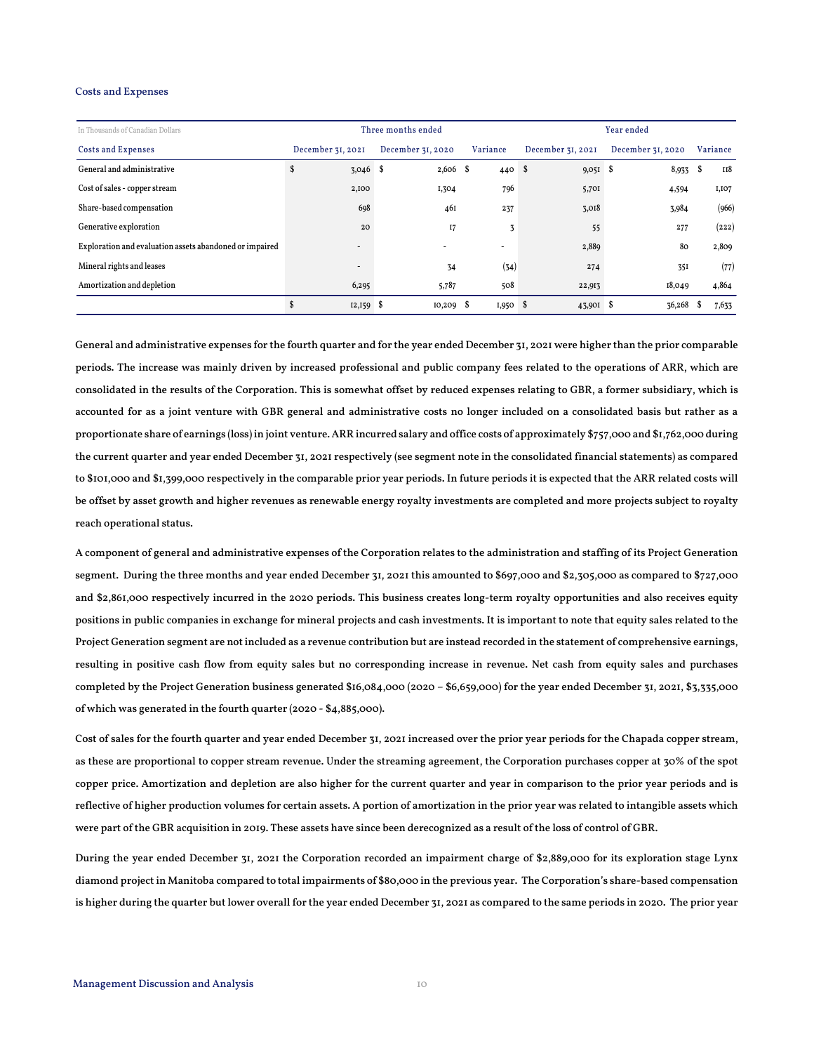# Costs and Expenses

| In Thousands of Canadian Dollars                        |                          | Three months ended |            |                   | Year ended        |                 |
|---------------------------------------------------------|--------------------------|--------------------|------------|-------------------|-------------------|-----------------|
| Costs and Expenses                                      | December 31, 2021        | December 31, 2020  | Variance   | December 31, 2021 | December 31, 2020 | Variance        |
| General and administrative                              | \$<br>$3,046$ \$         | $2,606$ \$         | 440S       | 9,051             | -S<br>8,933       | S<br><b>II8</b> |
| Cost of sales - copper stream                           | 2,100                    | 1,304              | 796        | 5,701             | 4,594             | I,I07           |
| Share-based compensation                                | 698                      | 461                | 237        | 3,018             | 3,984             | (966)           |
| Generative exploration                                  | 20                       | I7                 | 3          | 55                | 277               | (222)           |
| Exploration and evaluation assets abandoned or impaired | $\overline{\phantom{a}}$ | ۰                  | ٠          | 2,889             | 80                | 2,809           |
| Mineral rights and leases                               |                          | 34                 | (34)       | 274               | 35I               | (77)            |
| Amortization and depletion                              | 6,295                    | 5,787              | 508        | 22,913            | 18,049            | 4,864           |
|                                                         | Ŝ<br>$12,159$ \$         | $10,209$ \$        | $1,950$ \$ | $43,901$ \$       | 36,268            | S<br>7,633      |

General and administrative expenses for the fourth quarter and for the year ended December 31, 2021 were higher than the prior comparable periods. The increase was mainly driven by increased professional and public company fees related to the operations of ARR, which are consolidated in the results of the Corporation. This is somewhat offset by reduced expenses relating to GBR, a former subsidiary, which is accounted for as a joint venture with GBR general and administrative costs no longer included on a consolidated basis but rather as a proportionate share of earnings (loss) in joint venture. ARR incurred salary and office costs of approximately \$757,000 and \$1,762,000 during the current quarter and year ended December 31, 2021 respectively (see segment note in the consolidated financial statements) as compared to \$101,000 and \$1,399,000 respectively in the comparable prior year periods. In future periods it is expected that the ARR related costs will be offset by asset growth and higher revenues as renewable energy royalty investments are completed and more projects subject to royalty reach operational status.

A component of general and administrative expenses of the Corporation relates to the administration and staffing of its Project Generation segment. During the three months and year ended December 31, 2021 this amounted to \$697,000 and \$2,305,000 as compared to \$727,000 and \$2,861,000 respectively incurred in the 2020 periods. This business creates long-term royalty opportunities and also receives equity positions in public companies in exchange for mineral projects and cash investments. It is important to note that equity sales related to the Project Generation segment are not included as a revenue contribution but are instead recorded in the statement of comprehensive earnings, resulting in positive cash flow from equity sales but no corresponding increase in revenue. Net cash from equity sales and purchases completed by the Project Generation business generated \$16,084,000 (2020 – \$6,659,000) for the year ended December 31, 2021, \$3,335,000 of which was generated in the fourth quarter (2020 - \$4,885,000).

Cost of sales for the fourth quarter and year ended December 31, 2021 increased over the prior year periods for the Chapada copper stream, as these are proportional to copper stream revenue. Under the streaming agreement, the Corporation purchases copper at 30% of the spot copper price. Amortization and depletion are also higher for the current quarter and year in comparison to the prior year periods and is reflective of higher production volumes for certain assets. A portion of amortization in the prior year was related to intangible assets which were part of the GBR acquisition in 2019. These assets have since been derecognized as a result of the loss of control of GBR.

During the year ended December 31, 2021 the Corporation recorded an impairment charge of \$2,889,000 for its exploration stage Lynx diamond project in Manitoba compared to total impairments of \$80,000 in the previous year. The Corporation's share-based compensation is higher during the quarter but lower overall for the year ended December 31, 2021 as compared to the same periods in 2020. The prior year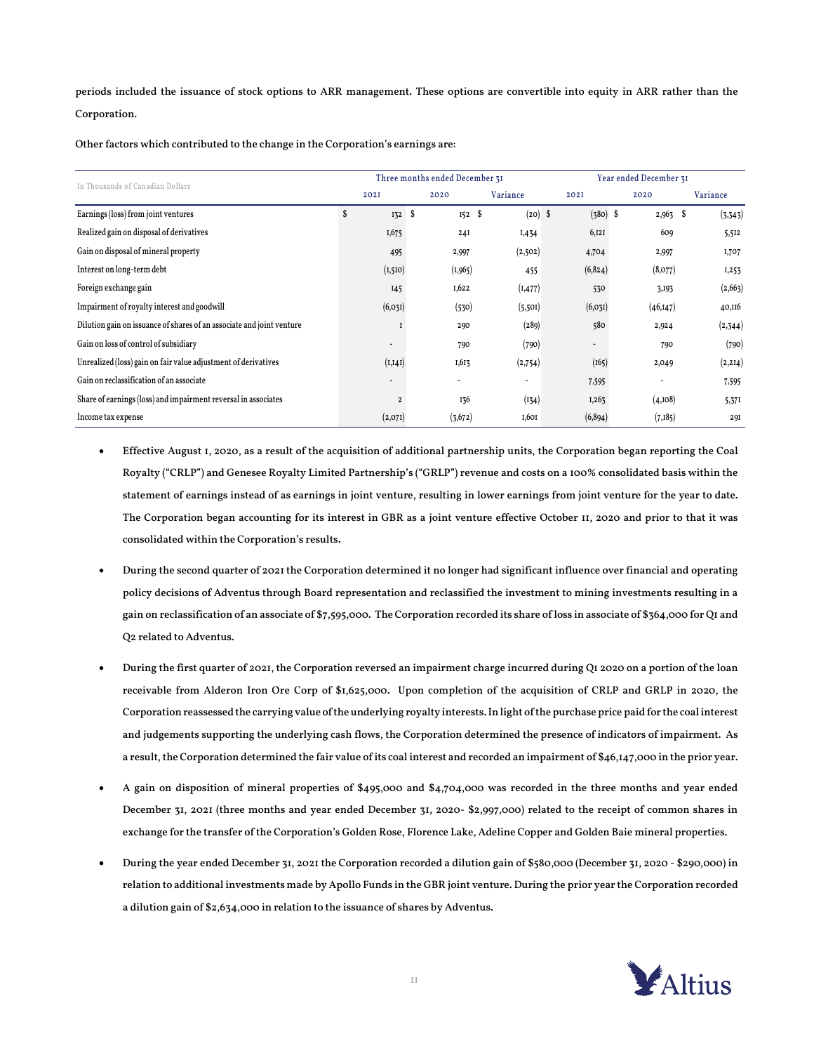periods included the issuance of stock options to ARR management. These options are convertible into equity in ARR rather than the Corporation.

Other factors which contributed to the change in the Corporation's earnings are:

| In Thousands of Canadian Dollars                                      |                  |      | Three months ended December 31 |    |           |  | Year ended December 31   |            |  |          |  |
|-----------------------------------------------------------------------|------------------|------|--------------------------------|----|-----------|--|--------------------------|------------|--|----------|--|
|                                                                       | 202I             | 2020 |                                |    | Variance  |  | 202I                     | 2020       |  | Variance |  |
| Earnings (loss) from joint ventures                                   | \$<br><b>I32</b> | - \$ | 152                            | -S | $(20)$ \$ |  | $(380)$ \$               | $2,963$ \$ |  | (3,343)  |  |
| Realized gain on disposal of derivatives                              | 1,675            |      | 24I                            |    | I,434     |  | 6,121                    | 609        |  | 5,512    |  |
| Gain on disposal of mineral property                                  | 495              |      | 2,997                          |    | (2,502)   |  | 4,704                    | 2,997      |  | I,707    |  |
| Interest on long-term debt                                            | (1,510)          |      | (I, 965)                       |    | 455       |  | (6, 824)                 | (8,077)    |  | 1,253    |  |
| Foreign exchange gain                                                 | I45              |      | I,622                          |    | (I, 477)  |  | 530                      | 3,193      |  | (2,665)  |  |
| Impairment of royalty interest and goodwill                           | (6, 03I)         |      | (530)                          |    | (5,501)   |  | (6, 03I)                 | (46, 147)  |  | 40,116   |  |
| Dilution gain on issuance of shares of an associate and joint venture |                  |      | 290                            |    | (289)     |  | 580                      | 2,924      |  | (2,344)  |  |
| Gain on loss of control of subsidiary                                 |                  |      | 790                            |    | (790)     |  | $\overline{\phantom{a}}$ | 790        |  | (790)    |  |
| Unrealized (loss) gain on fair value adjustment of derivatives        | (I,I4I)          |      | I,613                          |    | (2,754)   |  | (165)                    | 2,049      |  | (2,2I4)  |  |
| Gain on reclassification of an associate                              | $\overline{a}$   |      |                                |    | ٠         |  | 7,595                    |            |  | 7,595    |  |
| Share of earnings (loss) and impairment reversal in associates        | $\overline{2}$   |      | 136                            |    | (134)     |  | I,263                    | (4,108)    |  | 5,371    |  |
| Income tax expense                                                    | (2,07I)          |      | (3, 672)                       |    | 1,601     |  | (6,894)                  | (7,185)    |  | 291      |  |

- Effective August 1, 2020, as a result of the acquisition of additional partnership units, the Corporation began reporting the Coal Royalty ("CRLP") and Genesee Royalty Limited Partnership's ("GRLP") revenue and costs on a 100% consolidated basis within the statement of earnings instead of as earnings in joint venture, resulting in lower earnings from joint venture for the year to date. The Corporation began accounting for its interest in GBR as a joint venture effective October 11, 2020 and prior to that it was consolidated within the Corporation's results.
- During the second quarter of 2021 the Corporation determined it no longer had significant influence over financial and operating policy decisions of Adventus through Board representation and reclassified the investment to mining investments resulting in a gain on reclassification of an associate of \$7,595,000. The Corporation recorded its share of loss in associate of \$364,000 for Q1 and Q2 related to Adventus.
- During the first quarter of 2021, the Corporation reversed an impairment charge incurred during Q1 2020 on a portion of the loan receivable from Alderon Iron Ore Corp of \$1,625,000. Upon completion of the acquisition of CRLP and GRLP in 2020, the Corporation reassessed the carrying value of the underlying royalty interests. In light of the purchase price paid for the coal interest and judgements supporting the underlying cash flows, the Corporation determined the presence of indicators of impairment. As a result, the Corporation determined the fair value of its coal interest and recorded an impairment of \$46,147,000 in the prior year.
- A gain on disposition of mineral properties of \$495,000 and \$4,704,000 was recorded in the three months and year ended December 31, 2021 (three months and year ended December 31, 2020- \$2,997,000) related to the receipt of common shares in exchange for the transfer of the Corporation's Golden Rose, Florence Lake, Adeline Copper and Golden Baie mineral properties.
- During the year ended December 31, 2021 the Corporation recorded a dilution gain of \$580,000 (December 31, 2020 \$290,000) in relation to additional investments made by Apollo Funds in the GBR joint venture. During the prior year the Corporation recorded a dilution gain of \$2,634,000 in relation to the issuance of shares by Adventus.

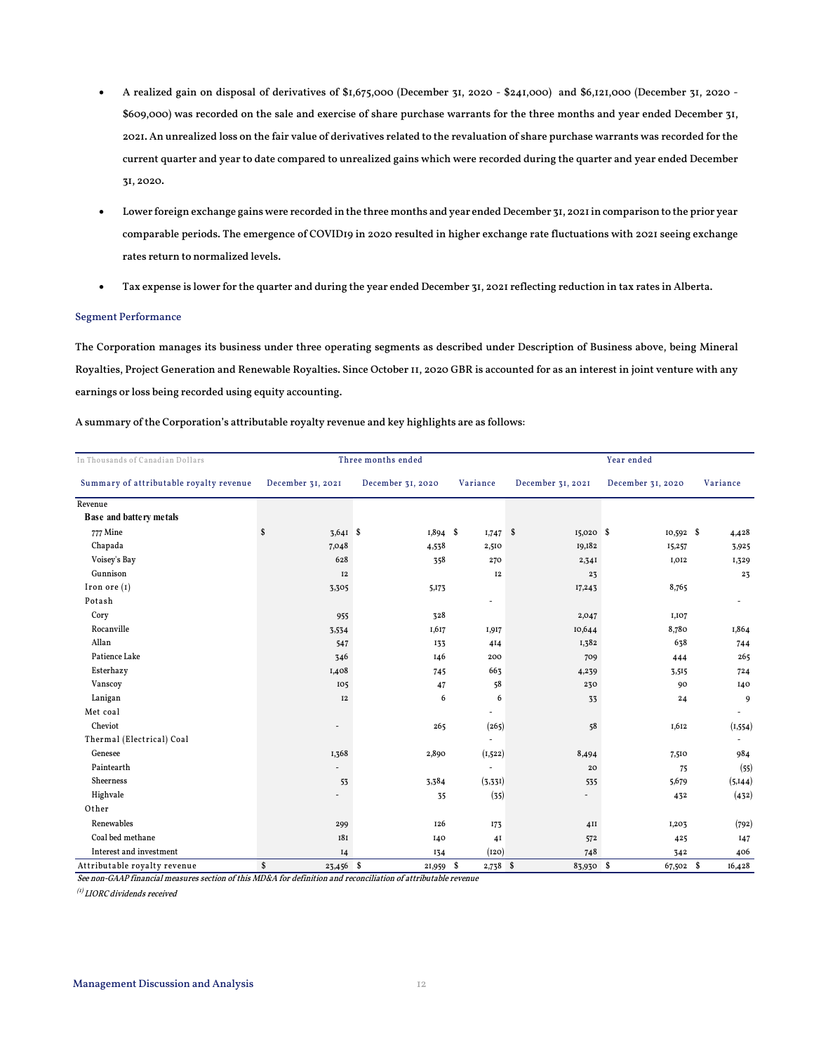- A realized gain on disposal of derivatives of \$1,675,000 (December 31, 2020 \$241,000) and \$6,121,000 (December 31, 2020 \$609,000) was recorded on the sale and exercise of share purchase warrants for the three months and year ended December 31, 2021. An unrealized loss on the fair value of derivatives related to the revaluation of share purchase warrants was recorded for the current quarter and year to date compared to unrealized gains which were recorded during the quarter and year ended December 31, 2020.
- Lower foreign exchange gains were recorded in the three months and year ended December 31, 2021in comparison to the prior year comparable periods. The emergence of COVID19 in 2020 resulted in higher exchange rate fluctuations with 2021 seeing exchange rates return to normalized levels.
- Tax expense is lower for the quarter and during the year ended December 31, 2021 reflecting reduction in tax rates in Alberta.

### Segment Performance

The Corporation manages its business under three operating segments as described under Description of Business above, being Mineral Royalties, Project Generation and Renewable Royalties. Since October 11, 2020 GBR is accounted for as an interest in joint venture with any earnings or loss being recorded using equity accounting.

A summary of the Corporation's attributable royalty revenue and key highlights are as follows:

| In Thousands of Canadian Dollars        |                   | Three months ended |                          |                          | Year ended        |          |
|-----------------------------------------|-------------------|--------------------|--------------------------|--------------------------|-------------------|----------|
| Summary of attributable royalty revenue | December 31, 2021 | December 31, 2020  | Variance                 | December 31, 2021        | December 31, 2020 | Variance |
| Revenue                                 |                   |                    |                          |                          |                   |          |
| Base and battery metals                 |                   |                    |                          |                          |                   |          |
| 777 Mine                                | \$<br>$3,641$ \$  | $1,894$ \$         | $1,747$ \$               | $15,020$ \$              | $10,592$ \$       | 4,428    |
| Chapada                                 | 7,048             | 4,538              | 2,510                    | 19,182                   | 15,257            | 3,925    |
| Voisey's Bay                            | 628               | 358                | 270                      | 2,341                    | 1,012             | 1,329    |
| Gunnison                                | <b>I2</b>         |                    | <b>I2</b>                | 23                       |                   | 23       |
| Iron ore $(I)$                          | 3,305             | 5,173              |                          | 17,243                   | 8,765             |          |
| Potash                                  |                   |                    | $\overline{\phantom{a}}$ |                          |                   |          |
| Cory                                    | 955               | 328                |                          | 2,047                    | 1,107             |          |
| Rocanville                              | 3,534             | 1,617              | 1,917                    | 10,644                   | 8,780             | 1,864    |
| Allan                                   | 547               | 133                | 414                      | 1,382                    | 638               | 744      |
| Patience Lake                           | 346               | 146                | 200                      | 709                      | 444               | 265      |
| Esterhazy                               | 1,408             | 745                | 663                      | 4,239                    | 3,515             | 724      |
| Vanscoy                                 | 105               | 47                 | 58                       | 230                      | 90                | 140      |
| Lanigan                                 | <b>I2</b>         | 6                  | 6                        | 33                       | 24                | 9        |
| Met coal                                |                   |                    |                          |                          |                   |          |
| Cheviot                                 |                   | 265                | (265)                    | 58                       | 1,612             | (1, 554) |
| Thermal (Electrical) Coal               |                   |                    |                          |                          |                   |          |
| Genesee                                 | 1,368             | 2,890              | (1,522)                  | 8,494                    | 7,510             | 984      |
| Paintearth                              |                   |                    | $\overline{\phantom{a}}$ | 20                       | 75                | (55)     |
| <b>Sheerness</b>                        | 53                | 3,384              | (3,331)                  | 535                      | 5,679             | (5,144)  |
| Highvale                                |                   | 35                 | (35)                     | $\overline{\phantom{a}}$ | 432               | (432)    |
| Other                                   |                   |                    |                          |                          |                   |          |
| Renewables                              | 299               | 126                | <b>173</b>               | 4II                      | 1,203             | (792)    |
| Coal bed methane                        | <b>181</b>        | 140                | 41                       | 572                      | 425               | 147      |
| Interest and investment                 | 14                | 134                | (120)                    | 748                      | 342               | 406      |
| Attributable royalty revenue            | \$<br>23,456 \$   | $21,959$ \$        | 2,738 \$                 | 83,930 \$                | 67,502 \$         | 16,428   |

See non-GAAP financial measures section of this MD&A for definition and reconciliation of attributable revenue

 $<sup>(1)</sup>$  LIORC dividends received</sup>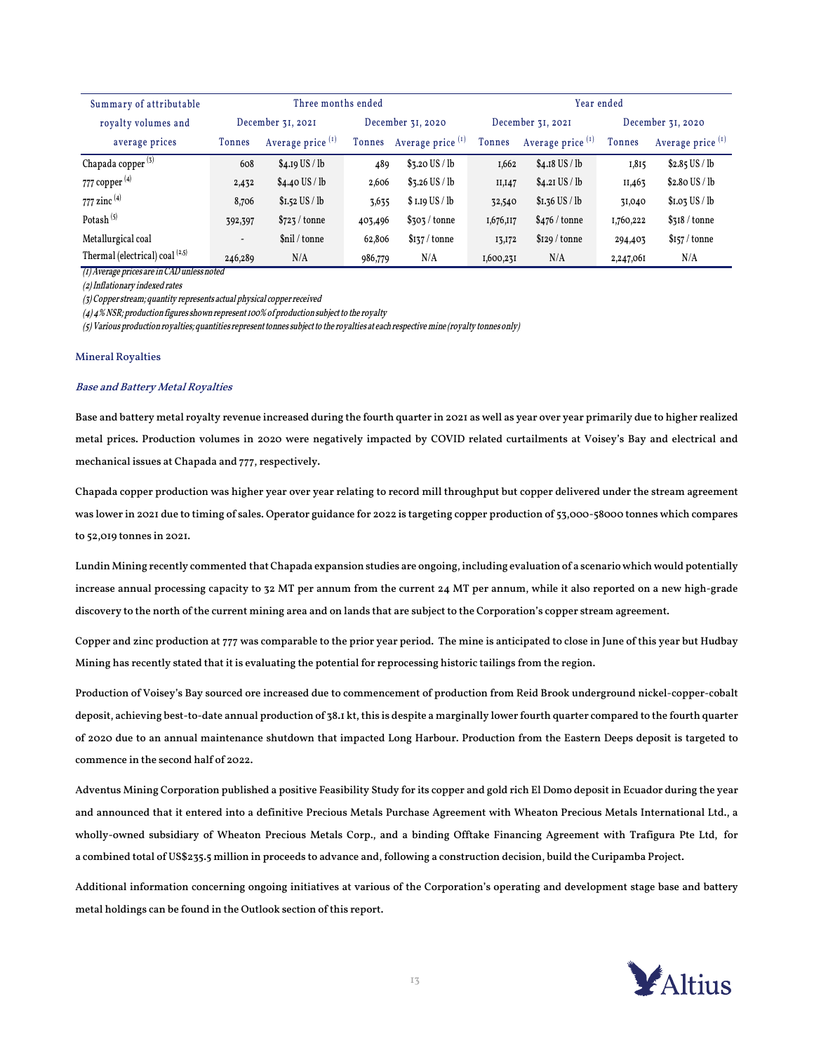| Summary of attributable           |                          | Three months ended           |               |                              | Year ended    |                              |                   |                              |  |  |  |  |
|-----------------------------------|--------------------------|------------------------------|---------------|------------------------------|---------------|------------------------------|-------------------|------------------------------|--|--|--|--|
| royalty volumes and               |                          | December 31, 2021            |               | December 31, 2020            |               | December 31, 2021            | December 31, 2020 |                              |  |  |  |  |
| average prices                    | <b>Tonnes</b>            | Average price <sup>(1)</sup> | <b>Tonnes</b> | Average price <sup>(1)</sup> | <b>Tonnes</b> | Average price <sup>(1)</sup> | Tonnes            | Average price <sup>(1)</sup> |  |  |  |  |
| Chapada copper <sup>(3)</sup>     | 608                      | $$4.19$ US / lb              | 489           | $$3.20$ US / lb              | I,662         | $$4.18$ US / lb              | 1,815             | $$2.85$ US / lb              |  |  |  |  |
| 777 copper <sup>(4)</sup>         | 2,432                    | $$4.40$ US / lb              | 2,606         | $$3.26$ US / lb              | II, I47       | $$4.2I$ US / lb              | II,463            | \$2.80 US / lb               |  |  |  |  |
| 777 zinc $(4)$                    | 8,706                    | $$I.52$ US / lb              | 3,635         | \$ I.I9 US / lb              | 32,540        | $$I.36$ US / lb              | 31,040            | $$I.05$ US / lb              |  |  |  |  |
| Potash $(5)$                      | 392,397                  | \$723 / tonne                | 403,496       | \$303 / tonne                | 1,676,117     | \$476 / tonne                | 1,760,222         | \$318 / tonne                |  |  |  |  |
| Metallurgical coal                | $\overline{\phantom{a}}$ | \$nil / tonne                | 62,806        | \$137 / tonne                | 13,172        | \$I29 / tonne                | 294,403           | \$157 / tonne                |  |  |  |  |
| Thermal (electrical) coal $(2,5)$ | 246,289                  | N/A                          | 986,779       | N/A                          | 1,600,231     | N/A                          | 2,247,061         | N/A                          |  |  |  |  |

(1) Average prices are in CAD unless noted

(2) Inflationary indexed rates

(3) Copper stream; quantity represents actual physical copper received

 $(4)$  4% NSR; production figures shown represent 100% of production subject to the royalty

(5) Various production royalties; quantities represent tonnes subject to the royalties at each respective mine (royalty tonnes only)

### Mineral Royalties

### Base and Battery Metal Royalties

Base and battery metal royalty revenue increased during the fourth quarter in 2021 as well as year over year primarily due to higher realized metal prices. Production volumes in 2020 were negatively impacted by COVID related curtailments at Voisey's Bay and electrical and mechanical issues at Chapada and 777, respectively.

Chapada copper production was higher year over year relating to record mill throughput but copper delivered under the stream agreement was lower in 2021 due to timing of sales. Operator guidance for 2022 is targeting copper production of 53,000-58000 tonnes which compares to 52,019 tonnes in 2021.

Lundin Mining recently commented that Chapada expansion studies are ongoing, including evaluation of a scenario which would potentially increase annual processing capacity to 32 MT per annum from the current 24 MT per annum, while it also reported on a new high-grade discovery to the north of the current mining area and on lands that are subject to the Corporation's copper stream agreement.

Copper and zinc production at 777 was comparable to the prior year period. The mine is anticipated to close in June of this year but Hudbay Mining has recently stated that it is evaluating the potential for reprocessing historic tailings from the region.

Production of Voisey's Bay sourced ore increased due to commencement of production from Reid Brook underground nickel-copper-cobalt deposit, achieving best-to-date annual production of 38.1 kt, this is despite a marginally lower fourth quarter compared to the fourth quarter of 2020 due to an annual maintenance shutdown that impacted Long Harbour. Production from the Eastern Deeps deposit is targeted to commence in the second half of 2022.

Adventus Mining Corporation published a positive Feasibility Study for its copper and gold rich El Domo deposit in Ecuador during the year and announced that it entered into a definitive Precious Metals Purchase Agreement with Wheaton Precious Metals International Ltd., a wholly-owned subsidiary of Wheaton Precious Metals Corp., and a binding Offtake Financing Agreement with Trafigura Pte Ltd, for a combined total of US\$235.5 million in proceeds to advance and, following a construction decision, build the Curipamba Project.

Additional information concerning ongoing initiatives at various of the Corporation's operating and development stage base and battery metal holdings can be found in the Outlook section of this report.

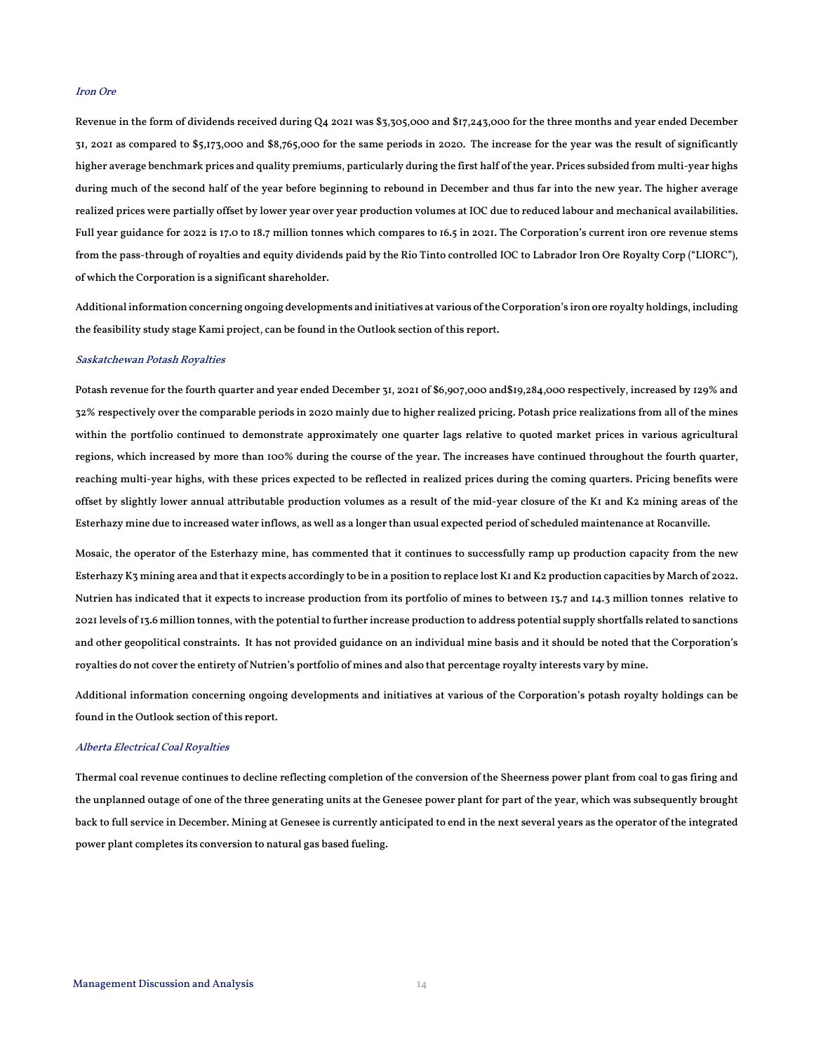# Iron Ore

Revenue in the form of dividends received during Q4 2021 was \$3,305,000 and \$17,243,000 for the three months and year ended December 31, 2021 as compared to \$5,173,000 and \$8,765,000 for the same periods in 2020. The increase for the year was the result of significantly higher average benchmark prices and quality premiums, particularly during the first half of the year. Prices subsided from multi-year highs during much of the second half of the year before beginning to rebound in December and thus far into the new year. The higher average realized prices were partially offset by lower year over year production volumes at IOC due to reduced labour and mechanical availabilities. Full year guidance for 2022 is 17.0 to 18.7 million tonnes which compares to 16.5 in 2021. The Corporation's current iron ore revenue stems from the pass-through of royalties and equity dividends paid by the Rio Tinto controlled IOC to Labrador Iron Ore Royalty Corp ("LIORC"), of which the Corporation is a significant shareholder.

Additional information concerning ongoing developments and initiatives at various of the Corporation's iron ore royalty holdings, including the feasibility study stage Kami project, can be found in the Outlook section of this report.

# Saskatchewan Potash Royalties

Potash revenue for the fourth quarter and year ended December 31, 2021 of \$6,907,000 and\$19,284,000 respectively, increased by 129% and 32% respectively over the comparable periods in 2020 mainly due to higher realized pricing. Potash price realizations from all of the mines within the portfolio continued to demonstrate approximately one quarter lags relative to quoted market prices in various agricultural regions, which increased by more than 100% during the course of the year. The increases have continued throughout the fourth quarter, reaching multi-year highs, with these prices expected to be reflected in realized prices during the coming quarters. Pricing benefits were offset by slightly lower annual attributable production volumes as a result of the mid-year closure of the K1 and K2 mining areas of the Esterhazy mine due to increased water inflows, as well as a longer than usual expected period of scheduled maintenance at Rocanville.

Mosaic, the operator of the Esterhazy mine, has commented that it continues to successfully ramp up production capacity from the new Esterhazy K3 mining area and that it expects accordingly to be in a position to replace lost K1 and K2 production capacities by March of 2022. Nutrien has indicated that it expects to increase production from its portfolio of mines to between 13.7 and 14.3 million tonnes relative to 2021 levels of 13.6 million tonnes, with the potential to further increase production to address potential supply shortfalls related to sanctions and other geopolitical constraints. It has not provided guidance on an individual mine basis and it should be noted that the Corporation's royalties do not cover the entirety of Nutrien's portfolio of mines and also that percentage royalty interests vary by mine.

Additional information concerning ongoing developments and initiatives at various of the Corporation's potash royalty holdings can be found in the Outlook section of this report.

# Alberta Electrical Coal Royalties

Thermal coal revenue continues to decline reflecting completion of the conversion of the Sheerness power plant from coal to gas firing and the unplanned outage of one of the three generating units at the Genesee power plant for part of the year, which was subsequently brought back to full service in December. Mining at Genesee is currently anticipated to end in the next several years as the operator of the integrated power plant completes its conversion to natural gas based fueling.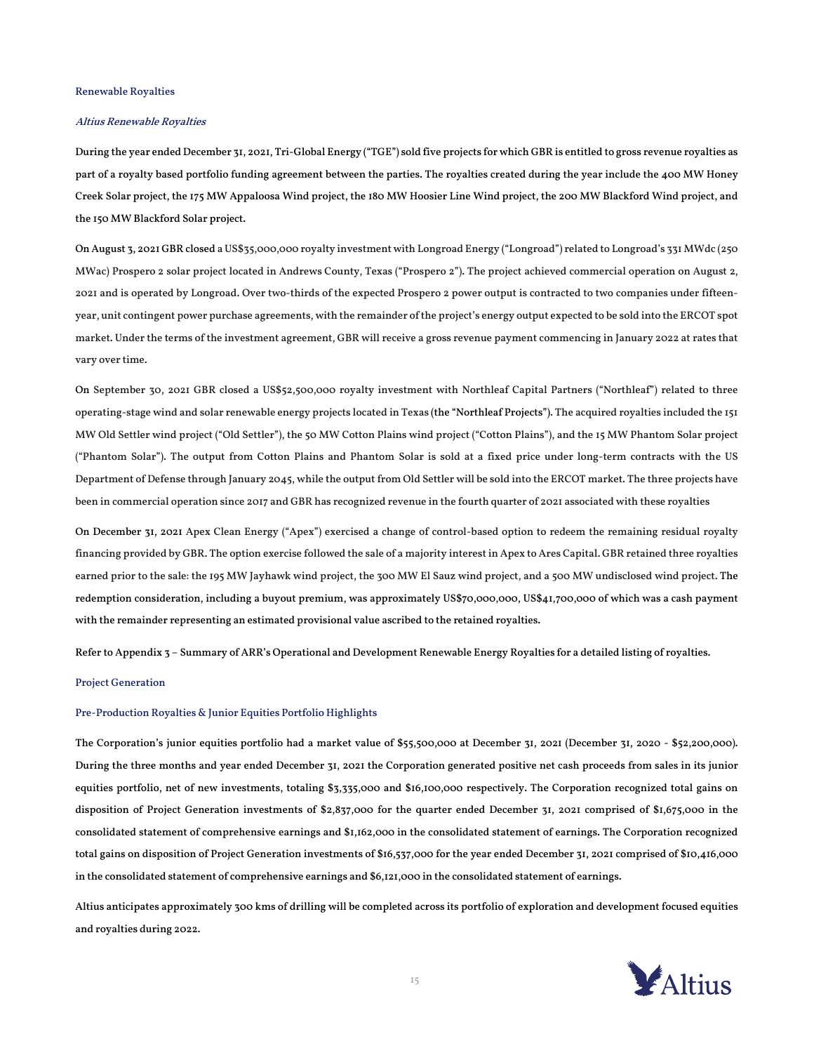# Renewable Royalties

### Altius Renewable Royalties

During the year ended December 31, 2021, Tri-Global Energy ("TGE") sold five projects for which GBR is entitled to gross revenue royalties as part of a royalty based portfolio funding agreement between the parties. The royalties created during the year include the 400 MW Honey Creek Solar project, the 175 MW Appaloosa Wind project, the 180 MW Hoosier Line Wind project, the 200 MW Blackford Wind project, and the 150 MW Blackford Solar project.

On August 3, 2021 GBR closed a US\$35,000,000 royalty investment with Longroad Energy ("Longroad") related to Longroad's 331 MWdc (250 MWac) Prospero 2 solar project located in Andrews County, Texas ("Prospero 2"). The project achieved commercial operation on August 2, 2021 and is operated by Longroad. Over two-thirds of the expected Prospero 2 power output is contracted to two companies under fifteenyear, unit contingent power purchase agreements, with the remainder of the project's energy output expected to be sold into the ERCOT spot market. Under the terms of the investment agreement, GBR will receive a gross revenue payment commencing in January 2022 at rates that vary over time.

On September 30, 2021 GBR closed a US\$52,500,000 royalty investment with Northleaf Capital Partners ("Northleaf") related to three operating-stage wind and solar renewable energy projects located in Texas (the "Northleaf Projects"). The acquired royalties included the 151 MW Old Settler wind project ("Old Settler"), the 50 MW Cotton Plains wind project ("Cotton Plains"), and the 15 MW Phantom Solar project ("Phantom Solar"). The output from Cotton Plains and Phantom Solar is sold at a fixed price under long-term contracts with the US Department of Defense through January 2045, while the output from Old Settler will be sold into the ERCOT market. The three projects have been in commercial operation since 2017 and GBR has recognized revenue in the fourth quarter of 2021 associated with these royalties

On December 31, 2021 Apex Clean Energy ("Apex") exercised a change of control-based option to redeem the remaining residual royalty financing provided by GBR. The option exercise followed the sale of a majority interest in Apex to Ares Capital. GBR retained three royalties earned prior to the sale: the 195 MW Jayhawk wind project, the 300 MW El Sauz wind project, and a 500 MW undisclosed wind project. The redemption consideration, including a buyout premium, was approximately US\$70,000,000, US\$41,700,000 of which was a cash payment with the remainder representing an estimated provisional value ascribed to the retained royalties.

Refer to Appendix 3 – Summary of ARR's Operational and Development Renewable Energy Royalties for a detailed listing of royalties.

# Project Generation

### Pre-Production Royalties & Junior Equities Portfolio Highlights

The Corporation's junior equities portfolio had a market value of \$55,500,000 at December 31, 2021 (December 31, 2020 - \$52,200,000). During the three months and year ended December 31, 2021 the Corporation generated positive net cash proceeds from sales in its junior equities portfolio, net of new investments, totaling \$3,335,000 and \$16,100,000 respectively. The Corporation recognized total gains on disposition of Project Generation investments of \$2,837,000 for the quarter ended December 31, 2021 comprised of \$1,675,000 in the consolidated statement of comprehensive earnings and \$1,162,000 in the consolidated statement of earnings. The Corporation recognized total gains on disposition of Project Generation investments of \$16,537,000 for the year ended December 31, 2021 comprised of \$10,416,000 in the consolidated statement of comprehensive earnings and \$6,121,000 in the consolidated statement of earnings.

Altius anticipates approximately 300 kms of drilling will be completed across its portfolio of exploration and development focused equities and royalties during 2022.

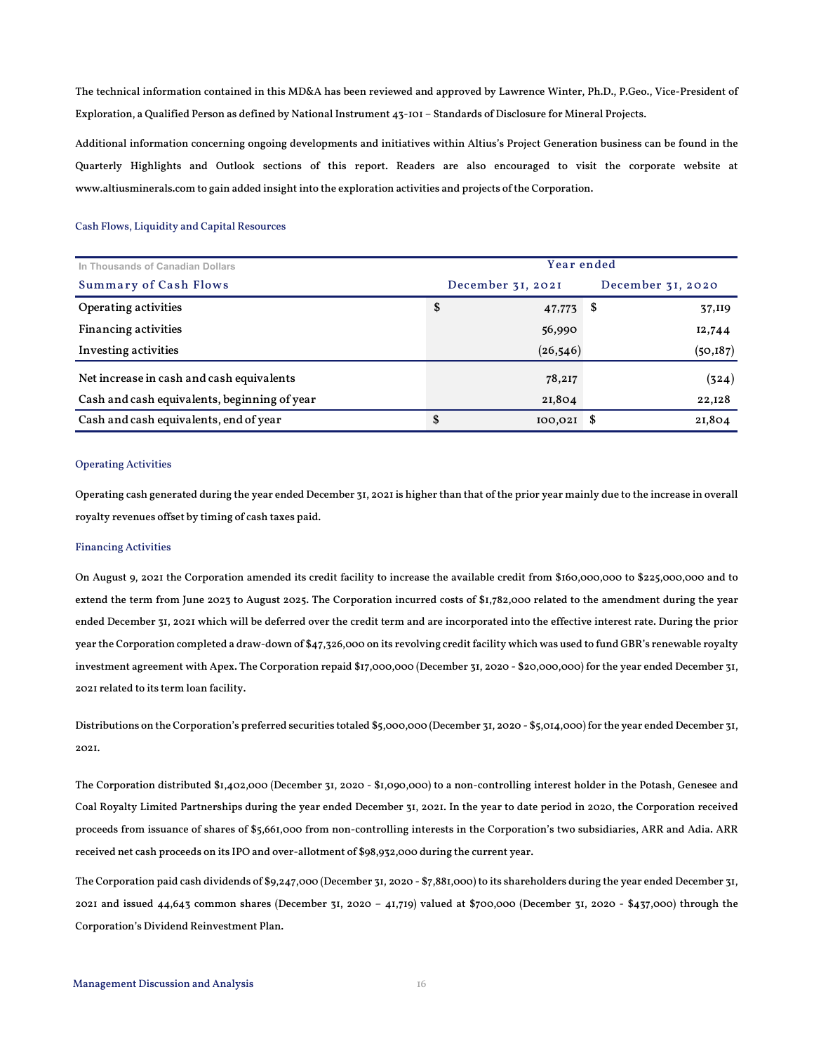The technical information contained in this MD&A has been reviewed and approved by Lawrence Winter, Ph.D., P.Geo., Vice‐President of Exploration, a Qualified Person as defined by National Instrument 43-101 – Standards of Disclosure for Mineral Projects.

Additional information concerning ongoing developments and initiatives within Altius's Project Generation business can be found in the Quarterly Highlights and Outlook sections of this report. Readers are also encouraged to visit the corporate website at [www.altiusminerals.com](http://www.altiusminerals.com/) to gain added insight into the exploration activities and projects of the Corporation.

# Cash Flows, Liquidity and Capital Resources

| In Thousands of Canadian Dollars             | Year ended        |                   |  |  |  |  |  |  |  |
|----------------------------------------------|-------------------|-------------------|--|--|--|--|--|--|--|
| <b>Summary of Cash Flows</b>                 | December 31, 2021 | December 31, 2020 |  |  |  |  |  |  |  |
| Operating activities                         | \$<br>47,773      | - \$<br>37,II9    |  |  |  |  |  |  |  |
| <b>Financing activities</b>                  | 56,990            | 12,744            |  |  |  |  |  |  |  |
| Investing activities                         | (26, 546)         | (50, 187)         |  |  |  |  |  |  |  |
| Net increase in cash and cash equivalents    | 78,217            | (324)             |  |  |  |  |  |  |  |
| Cash and cash equivalents, beginning of year | 21,804            | 22,128            |  |  |  |  |  |  |  |
| Cash and cash equivalents, end of year       | \$<br>100,021     | 21,804            |  |  |  |  |  |  |  |

### Operating Activities

Operating cash generated during the year ended December 31, 2021is higher than that of the prior year mainly due to the increase in overall royalty revenues offset by timing of cash taxes paid.

# Financing Activities

On August 9, 2021 the Corporation amended its credit facility to increase the available credit from \$160,000,000 to \$225,000,000 and to extend the term from June 2023 to August 2025. The Corporation incurred costs of \$1,782,000 related to the amendment during the year ended December 31, 2021 which will be deferred over the credit term and are incorporated into the effective interest rate. During the prior year the Corporation completed a draw-down of \$47,326,000 on its revolving credit facility which was used to fund GBR's renewable royalty investment agreement with Apex. The Corporation repaid \$17,000,000 (December 31, 2020 - \$20,000,000) for the year ended December 31, 2021 related to its term loan facility.

Distributions on the Corporation's preferred securities totaled \$5,000,000 (December 31, 2020 - \$5,014,000) for the year ended December 31, 2021.

The Corporation distributed \$1,402,000 (December 31, 2020 - \$1,090,000) to a non-controlling interest holder in the Potash, Genesee and Coal Royalty Limited Partnerships during the year ended December 31, 2021. In the year to date period in 2020, the Corporation received proceeds from issuance of shares of \$5,661,000 from non-controlling interests in the Corporation's two subsidiaries, ARR and Adia. ARR received net cash proceeds on its IPO and over-allotment of \$98,932,000 during the current year.

The Corporation paid cash dividends of \$9,247,000 (December 31, 2020 - \$7,881,000) to its shareholders during the year ended December 31, 2021 and issued 44,643 common shares (December 31, 2020 – 41,719) valued at \$700,000 (December 31, 2020 - \$437,000) through the Corporation's Dividend Reinvestment Plan.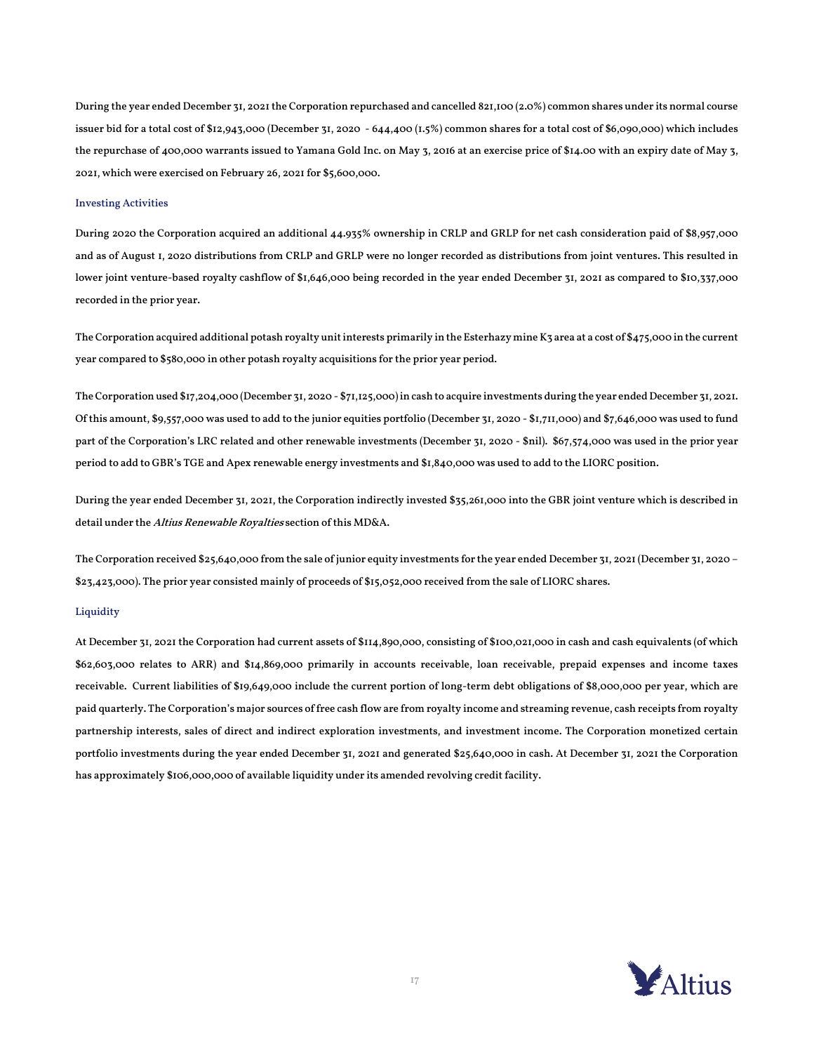During the year ended December 31, 2021 the Corporation repurchased and cancelled 821,100 (2.0%) common shares under its normal course issuer bid for a total cost of \$12,943,000 (December 31, 2020 - 644,400 (1.5%) common shares for a total cost of \$6,090,000) which includes the repurchase of 400,000 warrants issued to Yamana Gold Inc. on May 3, 2016 at an exercise price of \$14.00 with an expiry date of May 3, 2021, which were exercised on February 26, 2021 for \$5,600,000.

# Investing Activities

During 2020 the Corporation acquired an additional 44.935% ownership in CRLP and GRLP for net cash consideration paid of \$8,957,000 and as of August 1, 2020 distributions from CRLP and GRLP were no longer recorded as distributions from joint ventures. This resulted in lower joint venture-based royalty cashflow of \$1,646,000 being recorded in the year ended December 31, 2021 as compared to \$10,337,000 recorded in the prior year.

The Corporation acquired additional potash royalty unit interests primarily in the Esterhazy mine K3 area at a cost of \$475,000 in the current year compared to \$580,000 in other potash royalty acquisitions for the prior year period.

The Corporation used \$17,204,000 (December 31, 2020 - \$71,125,000)in cash to acquire investments during the year ended December 31, 2021. Of this amount, \$9,557,000 was used to add to the junior equities portfolio (December 31, 2020 - \$1,711,000) and \$7,646,000 was used to fund part of the Corporation's LRC related and other renewable investments (December 31, 2020 - \$nil). \$67,574,000 was used in the prior year period to add to GBR's TGE and Apex renewable energy investments and \$1,840,000 was used to add to the LIORC position.

During the year ended December 31, 2021, the Corporation indirectly invested \$35,261,000 into the GBR joint venture which is described in detail under the Altius Renewable Royalties section of this MD&A.

The Corporation received \$25,640,000 from the sale of junior equity investments for the year ended December 31, 2021(December 31, 2020 – \$23,423,000). The prior year consisted mainly of proceeds of \$15,052,000 received from the sale of LIORC shares.

# **Liquidity**

At December 31, 2021 the Corporation had current assets of \$114,890,000, consisting of \$100,021,000 in cash and cash equivalents (of which \$62,603,000 relates to ARR) and \$14,869,000 primarily in accounts receivable, loan receivable, prepaid expenses and income taxes receivable. Current liabilities of \$19,649,000 include the current portion of long-term debt obligations of \$8,000,000 per year, which are paid quarterly. The Corporation's major sources of free cash flow are from royalty income and streaming revenue, cash receipts from royalty partnership interests, sales of direct and indirect exploration investments, and investment income. The Corporation monetized certain portfolio investments during the year ended December 31, 2021 and generated \$25,640,000 in cash. At December 31, 2021 the Corporation has approximately \$106,000,000 of available liquidity under its amended revolving credit facility.

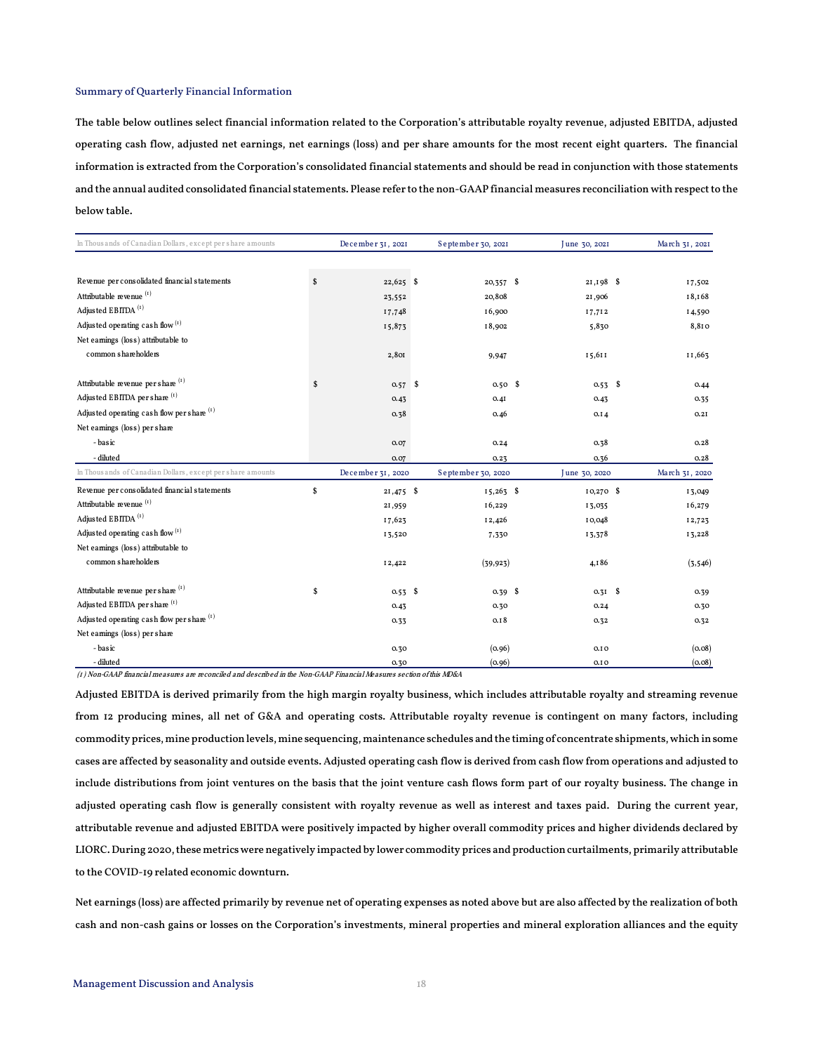## Summary of Quarterly Financial Information

The table below outlines select financial information related to the Corporation's attributable royalty revenue, adjusted EBITDA, adjusted operating cash flow, adjusted net earnings, net earnings (loss) and per share amounts for the most recent eight quarters. The financial information is extracted from the Corporation's consolidated financial statements and should be read in conjunction with those statements and the annual audited consolidated financial statements. Please refer to the non-GAAP financial measures reconciliation with respect to the below table.

| In Thousands of Canadian Dollars, except per share amounts | December 31, 2021 | September 30, 2021 | June 30, 2021 | March 31, 2021 |
|------------------------------------------------------------|-------------------|--------------------|---------------|----------------|
|                                                            |                   |                    |               |                |
| Revenue per consolidated financial statements              | \$<br>$22,625$ \$ | $20,357$ \$        | $2I, I98$ \$  | 17,502         |
| Attributable revenue <sup>(1)</sup>                        | 23,552            | 20,808             | 21,906        | 18,168         |
| Adjusted EBITDA <sup>(1)</sup>                             | 17,748            | 16,900             | 17,712        | 14,590         |
| Adjusted operating cash flow $(1)$                         | 15,873            | 18,902             | 5,830         | 8,810          |
| Net earnings (loss) attributable to                        |                   |                    |               |                |
| common shareholders                                        | $2,8$ OI          | 9,947              | 15,611        | 11,663         |
|                                                            |                   |                    |               |                |
| Attributable revenue per share (1)                         | \$<br>$0.57$ \$   | $0.50$ \$          | $0.53$ \$     | 0.44           |
| Adjusted EBITDA per share <sup>(1)</sup>                   | 0.43              | 0.4I               | 0.43          | 0.35           |
| Adjusted operating cash flow per share $(1)$               | 0.38              | 0.46               | 0.14          | 0.2I           |
| Net earnings (loss) per share                              |                   |                    |               |                |
| - basic                                                    | 0.07              | 0.24               | 0.38          | 0.28           |
| - diluted                                                  | 0.07              | 0.23               | 0.36          | 0.28           |
| In Thousands of Canadian Dollars, except per share amounts | December 31, 2020 | September 30, 2020 | June 30, 2020 | March 31, 2020 |
| Revenue per consolidated financial statements              | \$<br>$21,475$ \$ | $15,263$ \$        | $10,270$ \$   | 13,049         |
| Attributable revenue (1)                                   | 21,959            | 16,229             | 13,035        | 16,279         |
| Adjusted EBITDA <sup>(1)</sup>                             | 17,623            | I 2,426            | 10,048        | 12,723         |
| Adjusted operating cash flow $(1)$                         | 13,520            | 7,330              | 13,378        | 13,228         |
| Net earnings (loss) attributable to                        |                   |                    |               |                |
| common shareholders                                        | I2,422            | (39, 923)          | 4,186         | (3, 546)       |
| Attributable revenue per share (1)                         | \$<br>$0.53$ \$   | $0.39$ \$          | $0.31$ \$     | 0.39           |
| Adjusted EBITDA per share <sup>(1)</sup>                   | 0.43              | 0.30               | 0.24          | 0.30           |
| Adjusted operating cash flow per share $(1)$               | 0.33              | 0.18               | 0.32          | 0.32           |
| Net earnings (loss) per share                              |                   |                    |               |                |
| - basic                                                    | 0.30              | (0.96)             | 0.10          | (0.08)         |
| - diluted                                                  | 0.30              | (0.96)             | 0.10          | (0.08)         |

 $(1)$  Non-GAAP financial measures are reconciled and described in the Non-GAAP Financial Measures section of this MD&A

Adjusted EBITDA is derived primarily from the high margin royalty business, which includes attributable royalty and streaming revenue from 12 producing mines, all net of G&A and operating costs. Attributable royalty revenue is contingent on many factors, including commodity prices, mine production levels, mine sequencing, maintenance schedules and the timing of concentrate shipments, which in some cases are affected by seasonality and outside events. Adjusted operating cash flow is derived from cash flow from operations and adjusted to include distributions from joint ventures on the basis that the joint venture cash flows form part of our royalty business. The change in adjusted operating cash flow is generally consistent with royalty revenue as well as interest and taxes paid. During the current year, attributable revenue and adjusted EBITDA were positively impacted by higher overall commodity prices and higher dividends declared by LIORC. During 2020, these metrics were negatively impacted by lower commodity prices and production curtailments, primarily attributable to the COVID-19 related economic downturn.

Net earnings (loss) are affected primarily by revenue net of operating expenses as noted above but are also affected by the realization of both cash and non-cash gains or losses on the Corporation's investments, mineral properties and mineral exploration alliances and the equity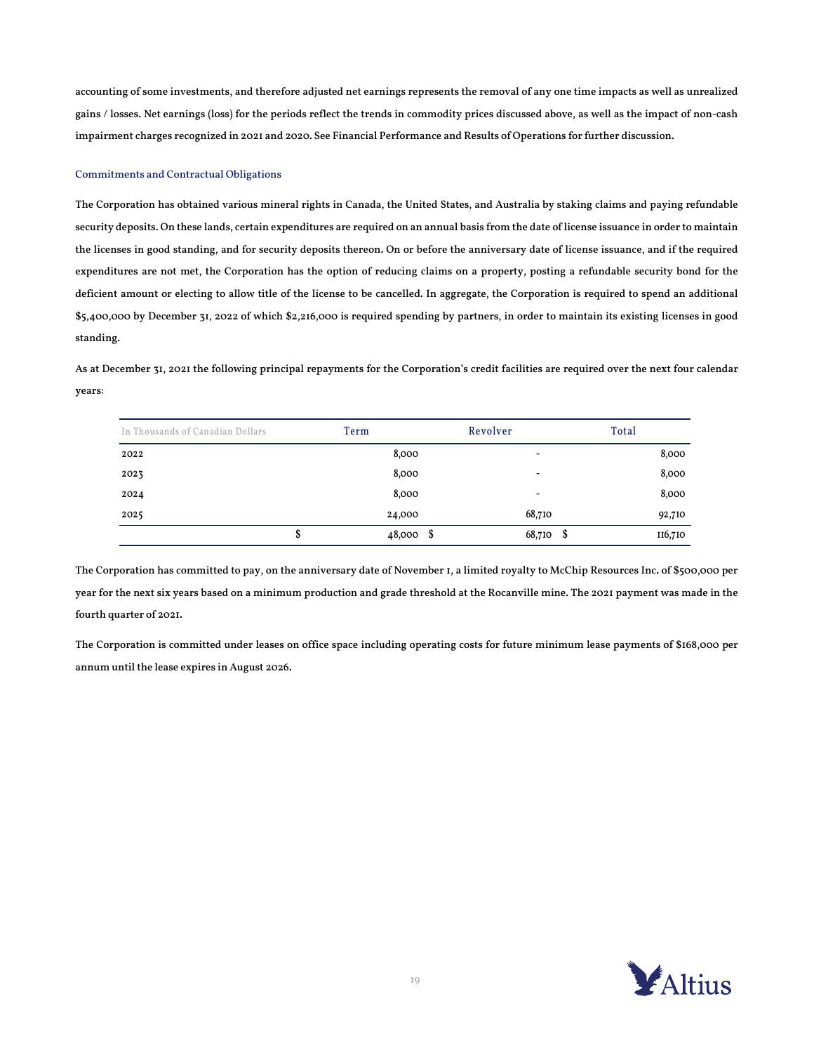accounting of some investments, and therefore adjusted net earnings represents the removal of any one time impacts as well as unrealized gains / losses. Net earnings (loss) for the periods reflect the trends in commodity prices discussed above, as well as the impact of non-cash impairment charges recognized in 2021 and 2020. See Financial Performance and Results of Operations for further discussion.

# Commitments and Contractual Obligations

The Corporation has obtained various mineral rights in Canada, the United States, and Australia by staking claims and paying refundable security deposits. On these lands, certain expenditures are required on an annual basis from the date of license issuance in order to maintain the licenses in good standing, and for security deposits thereon. On or before the anniversary date of license issuance, and if the required expenditures are not met, the Corporation has the option of reducing claims on a property, posting a refundable security bond for the deficient amount or electing to allow title of the license to be cancelled. In aggregate, the Corporation is required to spend an additional \$5,400,000 by December 31, 2022 of which \$2,216,000 is required spending by partners, in order to maintain its existing licenses in good standing.

As at December 31, 2021 the following principal repayments for the Corporation's credit facilities are required over the next four calendar years:

| In Thousands of Canadian Dollars | Term   | Revolver                          | Total        |
|----------------------------------|--------|-----------------------------------|--------------|
| 2022                             |        | 8,000<br>$\overline{\phantom{a}}$ | 8,000        |
| 2023                             |        | 8,000<br>$\overline{\phantom{0}}$ | 8,000        |
| 2024                             |        | 8,000<br>$\overline{\phantom{a}}$ | 8,000        |
| 2025                             | 24,000 | 68,710                            | 92,710       |
|                                  | S      | 68,710<br>48,000 \$               | S<br>116,710 |

The Corporation has committed to pay, on the anniversary date of November 1, a limited royalty to McChip Resources Inc. of \$500,000 per year for the next six years based on a minimum production and grade threshold at the Rocanville mine. The 2021 payment was made in the fourth quarter of 2021.

The Corporation is committed under leases on office space including operating costs for future minimum lease payments of \$168,000 per annum until the lease expires in August 2026.

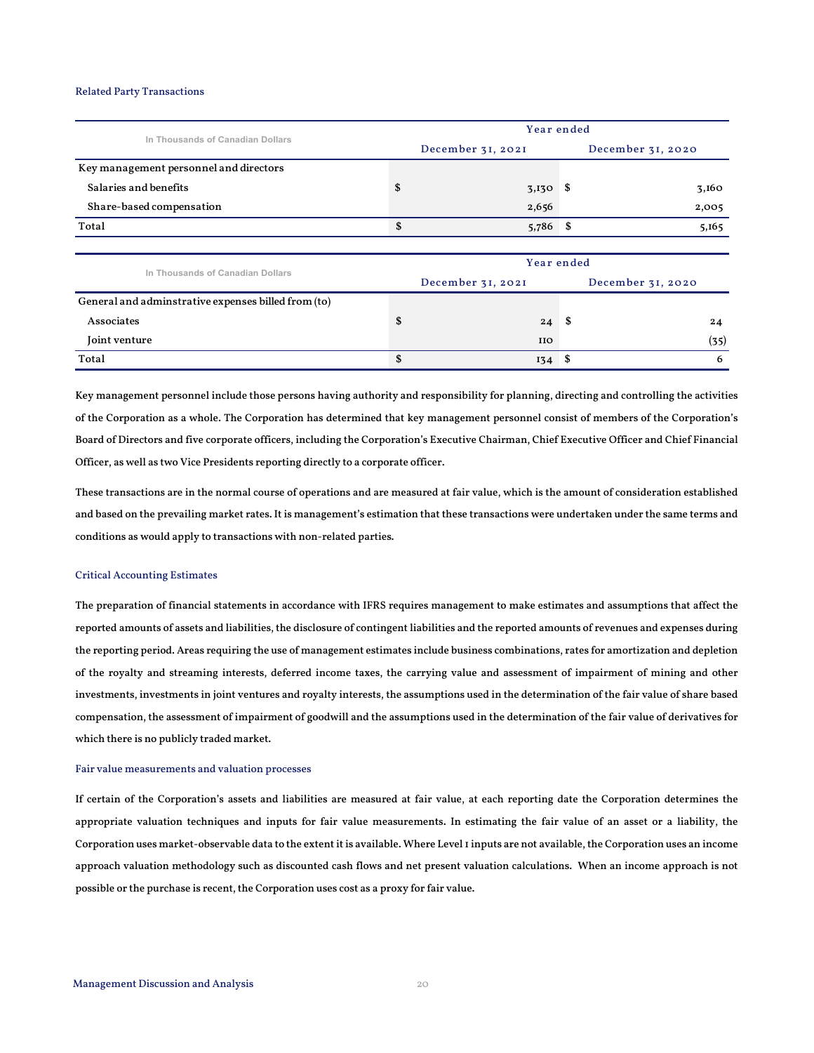### Related Party Transactions

|                                                     | Year ended |                   |                   |                   |  |  |  |  |
|-----------------------------------------------------|------------|-------------------|-------------------|-------------------|--|--|--|--|
| In Thousands of Canadian Dollars                    |            | December 31, 2021 | December 31, 2020 |                   |  |  |  |  |
| Key management personnel and directors              |            |                   |                   |                   |  |  |  |  |
| Salaries and benefits                               | \$         | $3,130$ \$        |                   | 3,160             |  |  |  |  |
| Share-based compensation                            |            | 2,656             |                   | 2,005             |  |  |  |  |
| Total                                               | \$         | $5,786$ \$        |                   | 5,165             |  |  |  |  |
|                                                     |            |                   |                   |                   |  |  |  |  |
| In Thousands of Canadian Dollars                    | Year ended |                   |                   |                   |  |  |  |  |
|                                                     |            | December 31, 2021 |                   | December 31, 2020 |  |  |  |  |
| General and adminstrative expenses billed from (to) |            |                   |                   |                   |  |  |  |  |
| Associates                                          | \$         | 24                | - \$              | 24                |  |  |  |  |
| Joint venture                                       |            | <b>IIO</b>        |                   | (35)              |  |  |  |  |
| Total                                               | \$         | $134$ \$          |                   | 6                 |  |  |  |  |

Key management personnel include those persons having authority and responsibility for planning, directing and controlling the activities of the Corporation as a whole. The Corporation has determined that key management personnel consist of members of the Corporation's Board of Directors and five corporate officers, including the Corporation's Executive Chairman, Chief Executive Officer and Chief Financial Officer, as well as two Vice Presidents reporting directly to a corporate officer.

These transactions are in the normal course of operations and are measured at fair value, which is the amount of consideration established and based on the prevailing market rates. It is management's estimation that these transactions were undertaken under the same terms and conditions as would apply to transactions with non-related parties.

### Critical Accounting Estimates

The preparation of financial statements in accordance with IFRS requires management to make estimates and assumptions that affect the reported amounts of assets and liabilities, the disclosure of contingent liabilities and the reported amounts of revenues and expenses during the reporting period. Areas requiring the use of management estimates include business combinations, rates for amortization and depletion of the royalty and streaming interests, deferred income taxes, the carrying value and assessment of impairment of mining and other investments, investments in joint ventures and royalty interests, the assumptions used in the determination of the fair value of share based compensation, the assessment of impairment of goodwill and the assumptions used in the determination of the fair value of derivatives for which there is no publicly traded market.

# Fair value measurements and valuation processes

If certain of the Corporation's assets and liabilities are measured at fair value, at each reporting date the Corporation determines the appropriate valuation techniques and inputs for fair value measurements. In estimating the fair value of an asset or a liability, the Corporation uses market-observable data to the extent it is available. Where Level 1 inputs are not available, the Corporation uses an income approach valuation methodology such as discounted cash flows and net present valuation calculations. When an income approach is not possible or the purchase is recent, the Corporation uses cost as a proxy for fair value.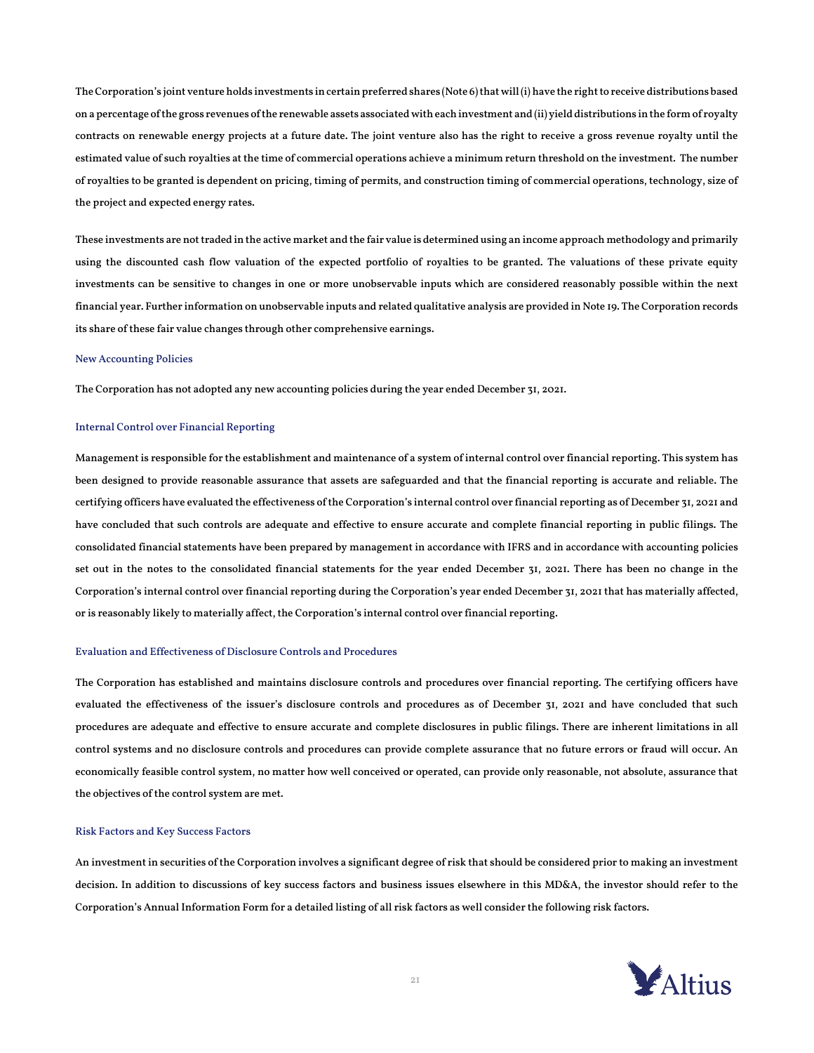The Corporation's joint venture holds investments in certain preferred shares (Note 6) that will (i) have the right to receive distributions based on a percentage of the gross revenues of the renewable assets associated with each investment and (ii) yield distributions inthe form of royalty contracts on renewable energy projects at a future date. The joint venture also has the right to receive a gross revenue royalty until the estimated value of such royalties at the time of commercial operations achieve a minimum return threshold on the investment. The number of royalties to be granted is dependent on pricing, timing of permits, and construction timing of commercial operations, technology, size of the project and expected energy rates.

These investments are not traded in the active market and the fair value is determined using an income approach methodology and primarily using the discounted cash flow valuation of the expected portfolio of royalties to be granted. The valuations of these private equity investments can be sensitive to changes in one or more unobservable inputs which are considered reasonably possible within the next financial year. Further information on unobservable inputs and related qualitative analysis are provided in Note 19. The Corporation records its share of these fair value changes through other comprehensive earnings.

# New Accounting Policies

The Corporation has not adopted any new accounting policies during the year ended December 31, 2021.

#### Internal Control over Financial Reporting

Management is responsible for the establishment and maintenance of a system of internal control over financial reporting. This system has been designed to provide reasonable assurance that assets are safeguarded and that the financial reporting is accurate and reliable. The certifying officers have evaluated the effectiveness of the Corporation's internal control over financial reporting as of December 31, 2021 and have concluded that such controls are adequate and effective to ensure accurate and complete financial reporting in public filings. The consolidated financial statements have been prepared by management in accordance with IFRS and in accordance with accounting policies set out in the notes to the consolidated financial statements for the year ended December 31, 2021. There has been no change in the Corporation's internal control over financial reporting during the Corporation's year ended December 31, 2021 that has materially affected, or is reasonably likely to materially affect, the Corporation's internal control over financial reporting.

# Evaluation and Effectiveness of Disclosure Controls and Procedures

The Corporation has established and maintains disclosure controls and procedures over financial reporting. The certifying officers have evaluated the effectiveness of the issuer's disclosure controls and procedures as of December 31, 2021 and have concluded that such procedures are adequate and effective to ensure accurate and complete disclosures in public filings. There are inherent limitations in all control systems and no disclosure controls and procedures can provide complete assurance that no future errors or fraud will occur. An economically feasible control system, no matter how well conceived or operated, can provide only reasonable, not absolute, assurance that the objectives of the control system are met.

# Risk Factors and Key Success Factors

An investment in securities of the Corporation involves a significant degree of risk that should be considered prior to making an investment decision. In addition to discussions of key success factors and business issues elsewhere in this MD&A, the investor should refer to the Corporation's Annual Information Form for a detailed listing of all risk factors as well consider the following risk factors.

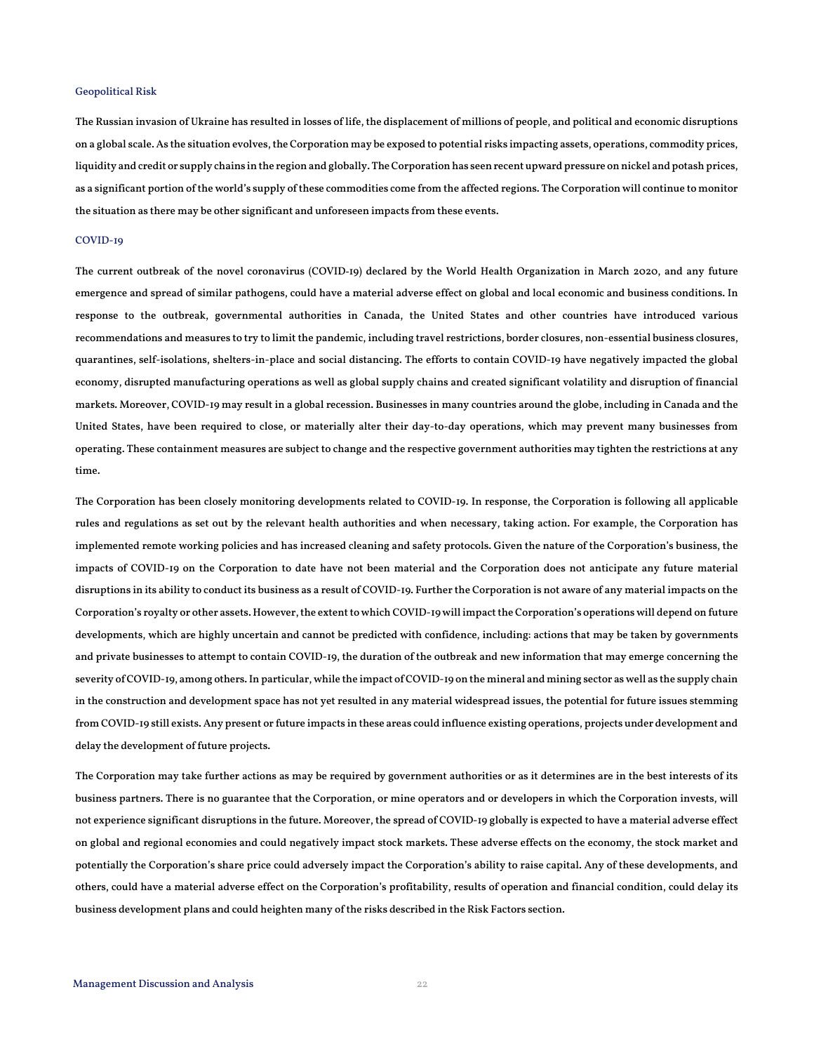### Geopolitical Risk

The Russian invasion of Ukraine has resulted in losses of life, the displacement of millions of people, and political and economic disruptions on a global scale. As the situation evolves, the Corporation may be exposed to potential risks impacting assets, operations, commodity prices, liquidity and credit or supply chains in the region and globally. The Corporation has seen recent upward pressure on nickel and potash prices, as a significant portion of the world's supply of these commodities come from the affected regions. The Corporation will continue to monitor the situation as there may be other significant and unforeseen impacts from these events.

# COVID-19

The current outbreak of the novel coronavirus (COVID‐19) declared by the World Health Organization in March 2020, and any future emergence and spread of similar pathogens, could have a material adverse effect on global and local economic and business conditions. In response to the outbreak, governmental authorities in Canada, the United States and other countries have introduced various recommendations and measures to try to limit the pandemic, including travel restrictions, border closures, non-essential business closures, quarantines, self-isolations, shelters-in-place and social distancing. The efforts to contain COVID-19 have negatively impacted the global economy, disrupted manufacturing operations as well as global supply chains and created significant volatility and disruption of financial markets. Moreover, COVID-19 may result in a global recession. Businesses in many countries around the globe, including in Canada and the United States, have been required to close, or materially alter their day-to-day operations, which may prevent many businesses from operating. These containment measures are subject to change and the respective government authorities may tighten the restrictions at any time.

The Corporation has been closely monitoring developments related to COVID-19. In response, the Corporation is following all applicable rules and regulations as set out by the relevant health authorities and when necessary, taking action. For example, the Corporation has implemented remote working policies and has increased cleaning and safety protocols. Given the nature of the Corporation's business, the impacts of COVID-19 on the Corporation to date have not been material and the Corporation does not anticipate any future material disruptions in its ability to conduct its business as a result of COVID-19. Further the Corporation is not aware of any material impacts on the Corporation's royalty or other assets. However, the extent to which COVID-19 will impact the Corporation's operations will depend on future developments, which are highly uncertain and cannot be predicted with confidence, including: actions that may be taken by governments and private businesses to attempt to contain COVID-19, the duration of the outbreak and new information that may emerge concerning the severity of COVID-19, among others. In particular, while the impact of COVID-19 on the mineral and mining sector as well as the supply chain in the construction and development space has not yet resulted in any material widespread issues, the potential for future issues stemming from COVID-19 still exists. Any present or future impacts in these areas could influence existing operations, projects under development and delay the development of future projects.

The Corporation may take further actions as may be required by government authorities or as it determines are in the best interests of its business partners. There is no guarantee that the Corporation, or mine operators and or developers in which the Corporation invests, will not experience significant disruptions in the future. Moreover, the spread of COVID-19 globally is expected to have a material adverse effect on global and regional economies and could negatively impact stock markets. These adverse effects on the economy, the stock market and potentially the Corporation's share price could adversely impact the Corporation's ability to raise capital. Any of these developments, and others, could have a material adverse effect on the Corporation's profitability, results of operation and financial condition, could delay its business development plans and could heighten many of the risks described in the Risk Factors section.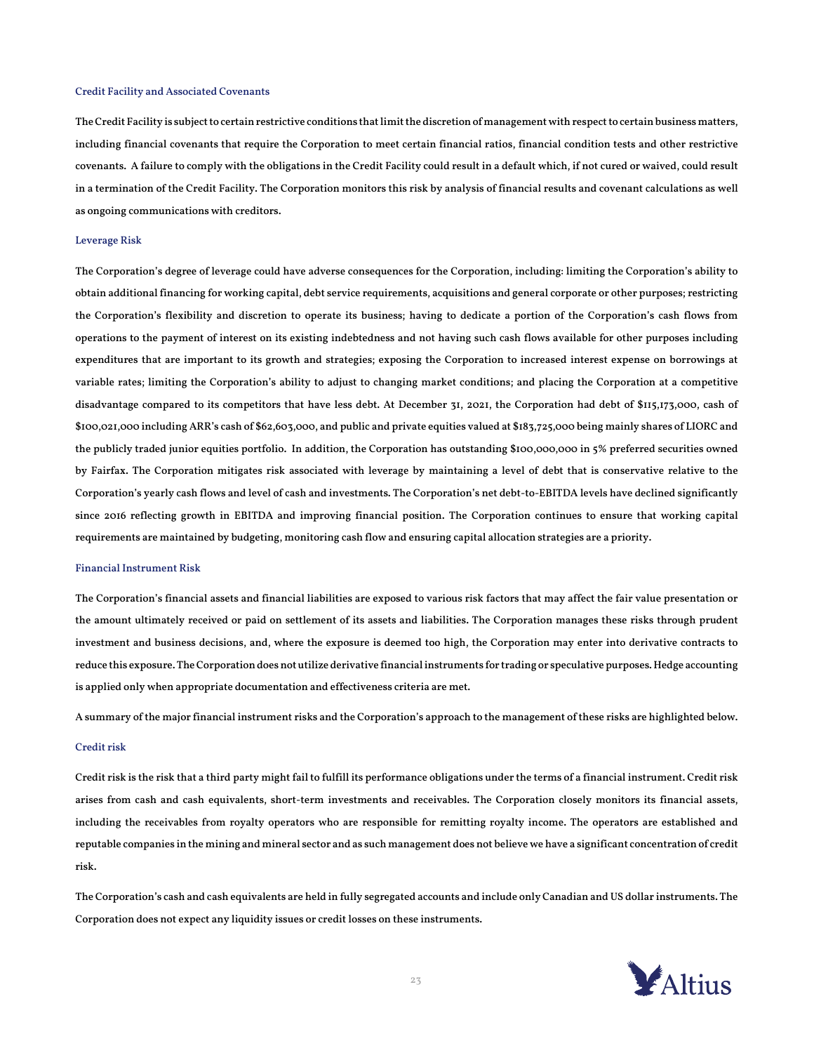### Credit Facility and Associated Covenants

The Credit Facility is subject to certain restrictive conditions that limit the discretion of management with respect to certain business matters, including financial covenants that require the Corporation to meet certain financial ratios, financial condition tests and other restrictive covenants. A failure to comply with the obligations in the Credit Facility could result in a default which, if not cured or waived, could result in a termination of the Credit Facility. The Corporation monitors this risk by analysis of financial results and covenant calculations as well as ongoing communications with creditors.

### Leverage Risk

The Corporation's degree of leverage could have adverse consequences for the Corporation, including: limiting the Corporation's ability to obtain additional financing for working capital, debt service requirements, acquisitions and general corporate or other purposes; restricting the Corporation's flexibility and discretion to operate its business; having to dedicate a portion of the Corporation's cash flows from operations to the payment of interest on its existing indebtedness and not having such cash flows available for other purposes including expenditures that are important to its growth and strategies; exposing the Corporation to increased interest expense on borrowings at variable rates; limiting the Corporation's ability to adjust to changing market conditions; and placing the Corporation at a competitive disadvantage compared to its competitors that have less debt. At December 31, 2021, the Corporation had debt of \$115,173,000, cash of \$100,021,000 including ARR's cash of \$62,603,000, and public and private equities valued at \$183,725,000 being mainly shares of LIORC and the publicly traded junior equities portfolio. In addition, the Corporation has outstanding \$100,000,000 in 5% preferred securities owned by Fairfax. The Corporation mitigates risk associated with leverage by maintaining a level of debt that is conservative relative to the Corporation's yearly cash flows and level of cash and investments. The Corporation's net debt-to-EBITDA levels have declined significantly since 2016 reflecting growth in EBITDA and improving financial position. The Corporation continues to ensure that working capital requirements are maintained by budgeting, monitoring cash flow and ensuring capital allocation strategies are a priority.

### Financial Instrument Risk

The Corporation's financial assets and financial liabilities are exposed to various risk factors that may affect the fair value presentation or the amount ultimately received or paid on settlement of its assets and liabilities. The Corporation manages these risks through prudent investment and business decisions, and, where the exposure is deemed too high, the Corporation may enter into derivative contracts to reduce this exposure. The Corporation does not utilize derivative financial instruments for trading or speculative purposes. Hedge accounting is applied only when appropriate documentation and effectiveness criteria are met.

A summary of the major financial instrument risks and the Corporation's approach to the management of these risks are highlighted below.

## Credit risk

Credit risk is the risk that a third party might fail to fulfill its performance obligations under the terms of a financial instrument. Credit risk arises from cash and cash equivalents, short-term investments and receivables. The Corporation closely monitors its financial assets, including the receivables from royalty operators who are responsible for remitting royalty income. The operators are established and reputable companies in the mining and mineral sector and as such management does not believe we have a significant concentration of credit risk.

The Corporation's cash and cash equivalents are held in fully segregated accounts and include only Canadian and US dollar instruments. The Corporation does not expect any liquidity issues or credit losses on these instruments.

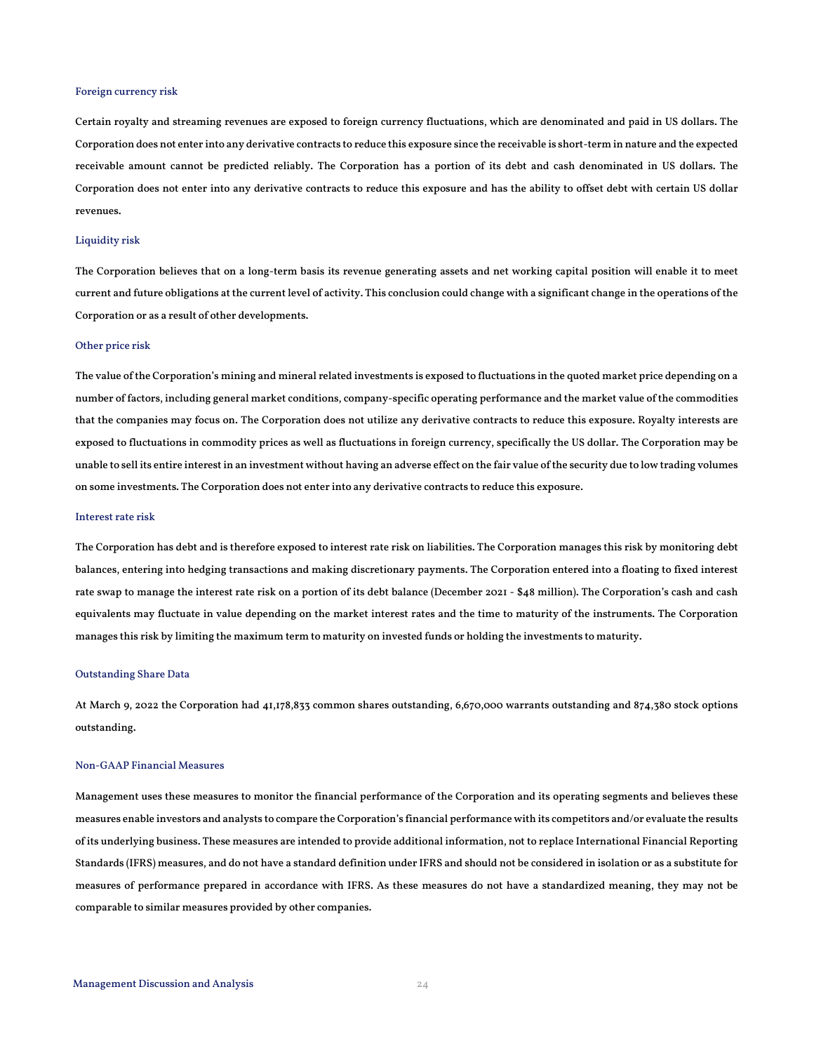### Foreign currency risk

Certain royalty and streaming revenues are exposed to foreign currency fluctuations, which are denominated and paid in US dollars. The Corporation does not enter into any derivative contracts to reduce this exposure since the receivable is short-term in nature and the expected receivable amount cannot be predicted reliably. The Corporation has a portion of its debt and cash denominated in US dollars. The Corporation does not enter into any derivative contracts to reduce this exposure and has the ability to offset debt with certain US dollar revenues.

### Liquidity risk

The Corporation believes that on a long-term basis its revenue generating assets and net working capital position will enable it to meet current and future obligations at the current level of activity. This conclusion could change with a significant change in the operations of the Corporation or as a result of other developments.

### Other price risk

The value of the Corporation's mining and mineral related investments is exposed to fluctuations in the quoted market price depending on a number of factors, including general market conditions, company-specific operating performance and the market value of the commodities that the companies may focus on. The Corporation does not utilize any derivative contracts to reduce this exposure. Royalty interests are exposed to fluctuations in commodity prices as well as fluctuations in foreign currency, specifically the US dollar. The Corporation may be unable to sell its entire interest in an investment without having an adverse effect on the fair value of the security due to low trading volumes on some investments. The Corporation does not enter into any derivative contracts to reduce this exposure.

### Interest rate risk

The Corporation has debt and is therefore exposed to interest rate risk on liabilities. The Corporation manages this risk by monitoring debt balances, entering into hedging transactions and making discretionary payments. The Corporation entered into a floating to fixed interest rate swap to manage the interest rate risk on a portion of its debt balance (December 2021 - \$48 million). The Corporation's cash and cash equivalents may fluctuate in value depending on the market interest rates and the time to maturity of the instruments. The Corporation manages this risk by limiting the maximum term to maturity on invested funds or holding the investments to maturity.

### Outstanding Share Data

At March 9, 2022 the Corporation had 41,178,833 common shares outstanding, 6,670,000 warrants outstanding and 874,380 stock options outstanding.

# Non-GAAP Financial Measures

Management uses these measures to monitor the financial performance of the Corporation and its operating segments and believes these measures enable investors and analysts to compare the Corporation's financial performance with its competitors and/or evaluate the results of its underlying business. These measures are intended to provide additional information, not to replace International Financial Reporting Standards (IFRS) measures, and do not have a standard definition under IFRS and should not be considered in isolation or as a substitute for measures of performance prepared in accordance with IFRS. As these measures do not have a standardized meaning, they may not be comparable to similar measures provided by other companies.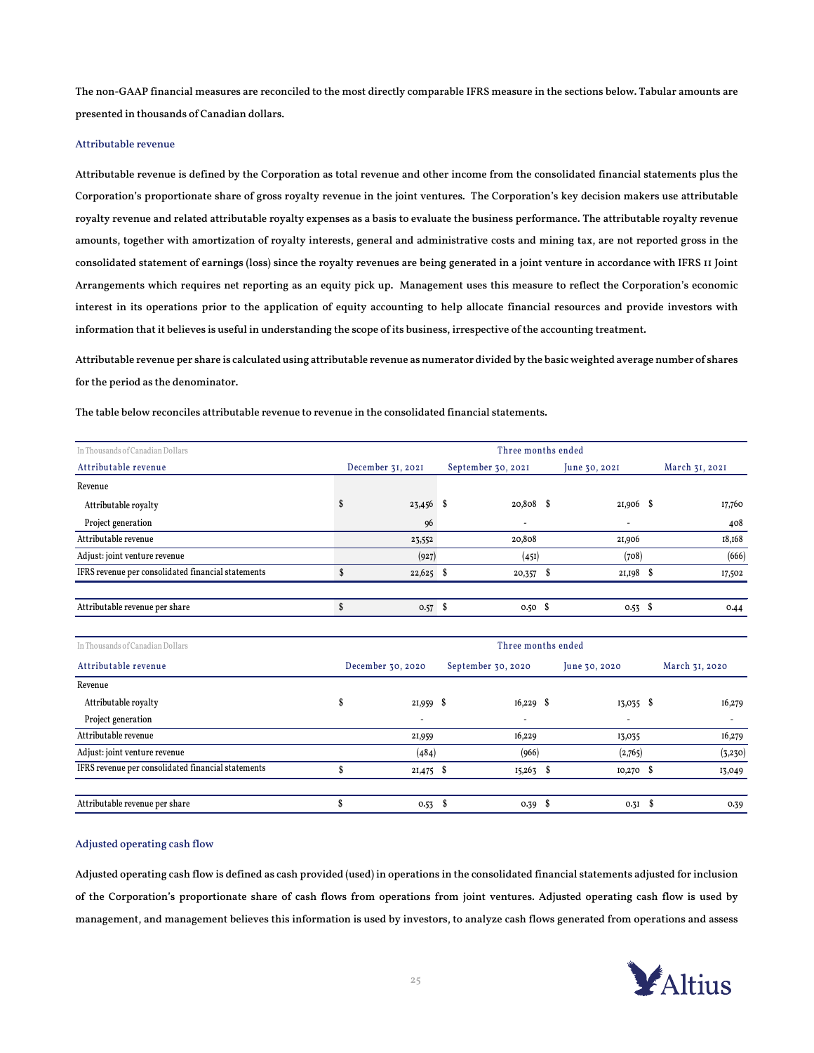The non-GAAP financial measures are reconciled to the most directly comparable IFRS measure in the sections below. Tabular amounts are presented in thousands of Canadian dollars.

# Attributable revenue

Attributable revenue is defined by the Corporation as total revenue and other income from the consolidated financial statements plus the Corporation's proportionate share of gross royalty revenue in the joint ventures. The Corporation's key decision makers use attributable royalty revenue and related attributable royalty expenses as a basis to evaluate the business performance. The attributable royalty revenue amounts, together with amortization of royalty interests, general and administrative costs and mining tax, are not reported gross in the consolidated statement of earnings (loss) since the royalty revenues are being generated in a joint venture in accordance with IFRS 11 Joint Arrangements which requires net reporting as an equity pick up. Management uses this measure to reflect the Corporation's economic interest in its operations prior to the application of equity accounting to help allocate financial resources and provide investors with information that it believes is useful in understanding the scope of its business, irrespective of the accounting treatment.

Attributable revenue per share is calculated using attributable revenue as numerator divided by the basic weighted average number of shares for the period as the denominator.

The table below reconciles attributable revenue to revenue in the consolidated financial statements.

| In Thousands of Canadian Dollars                   | Three months ended |                    |                    |               |                 |  |                          |  |  |
|----------------------------------------------------|--------------------|--------------------|--------------------|---------------|-----------------|--|--------------------------|--|--|
| Attributable revenue                               | December 31, 2021  | September 30, 2021 |                    |               | June 30, 2021   |  | March 31, 2021           |  |  |
| Revenue                                            |                    |                    |                    |               |                 |  |                          |  |  |
| Attributable royalty                               | 23,456             | - \$               | $20,808$ \$        |               | 21,906 \$       |  | 17,760                   |  |  |
| Project generation                                 | 96                 |                    |                    |               | ٠               |  | 408                      |  |  |
| Attributable revenue                               | 23,552             |                    | 20,808             |               | 21,906          |  | 18,168                   |  |  |
| Adjust: joint venture revenue                      | (927)              |                    | (45I)              |               | (708)           |  | (666)                    |  |  |
| IFRS revenue per consolidated financial statements | \$<br>22,625 \$    |                    | $20,357$ \$        |               | $21,198$ \$     |  | 17,502                   |  |  |
| Attributable revenue per share                     | \$<br>$0.57$ \$    |                    | $0.50\,$ \$        |               | $0.53$ \$       |  | 0.44                     |  |  |
| In Thousands of Canadian Dollars                   |                    |                    | Three months ended |               |                 |  |                          |  |  |
| Attributable revenue                               | December 30, 2020  |                    | September 30, 2020 | June 30, 2020 |                 |  | March 31, 2020           |  |  |
| Revenue                                            |                    |                    |                    |               |                 |  |                          |  |  |
| Attributable royalty                               | \$<br>$21,959$ \$  |                    | $16,229$ \$        |               | $13,035$ \$     |  | 16,279                   |  |  |
| Project generation                                 | $\sim$             |                    |                    |               | $\overline{a}$  |  | $\overline{\phantom{a}}$ |  |  |
| Attributable revenue                               | 21,959             |                    | 16,229             |               | 13,035          |  | 16,279                   |  |  |
| Adjust: joint venture revenue                      | (484)              |                    | (966)              |               | (2,765)         |  | (3,230)                  |  |  |
| IFRS revenue per consolidated financial statements | \$<br>21,475       | S,                 | $15,263$ \$        |               | $10,270$ \$     |  | 13,049                   |  |  |
| Attributable revenue per share                     | \$<br>$0.53$ \$    |                    | $0.39$ \$          |               | $0.31 \quad$ \$ |  | 0.39                     |  |  |

#### Adjusted operating cash flow

Adjusted operating cash flow is defined as cash provided (used) in operations in the consolidated financial statements adjusted for inclusion of the Corporation's proportionate share of cash flows from operations from joint ventures. Adjusted operating cash flow is used by management, and management believes this information is used by investors, to analyze cash flows generated from operations and assess

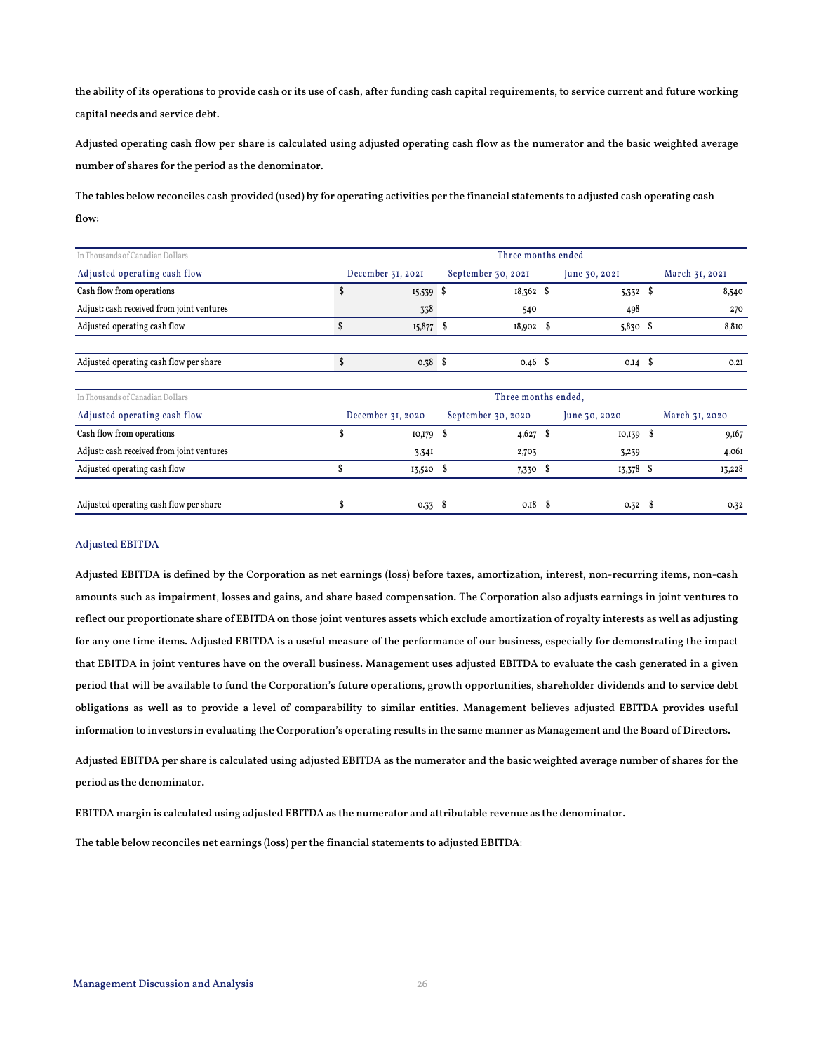the ability of its operations to provide cash or its use of cash, after funding cash capital requirements, to service current and future working capital needs and service debt.

Adjusted operating cash flow per share is calculated using adjusted operating cash flow as the numerator and the basic weighted average number of shares for the period as the denominator.

The tables below reconciles cash provided (used) by for operating activities per the financial statements to adjusted cash operating cash flow:

| In Thousands of Canadian Dollars          | Three months ended |                   |    |                     |               |               |      |                |  |
|-------------------------------------------|--------------------|-------------------|----|---------------------|---------------|---------------|------|----------------|--|
| Adjusted operating cash flow              |                    | December 31, 2021 |    | September 30, 2021  | June 30, 2021 |               |      | March 31, 2021 |  |
| Cash flow from operations                 | \$                 | 15,539            | S  | $18,362$ \$         |               | 5,332         | S    | 8,540          |  |
| Adjust: cash received from joint ventures |                    | 338               |    | 540                 |               | 498           |      | 270            |  |
| Adjusted operating cash flow              | S                  | 15,877            | -5 | $18,902$ \$         |               | 5,830 \$      |      | 8,810          |  |
| Adjusted operating cash flow per share    | S                  | 0.38              | S  | $0.46$ \$           |               | $0.14$ \$     |      | 0.2I           |  |
| In Thousands of Canadian Dollars          |                    |                   |    | Three months ended. |               |               |      |                |  |
| Adjusted operating cash flow              |                    | December 31, 2020 |    | September 30, 2020  |               | June 30, 2020 |      | March 31, 2020 |  |
| Cash flow from operations                 | S                  | 10,179            | S  | $4,627$ \$          |               | 10,139        | S    | 9,167          |  |
| Adjust: cash received from joint ventures |                    | 3,34I             |    | 2,703               |               | 3,239         |      | 4,061          |  |
| Adjusted operating cash flow              | ъ                  | 13,520            | S, | 7,330 \$            |               | 13,378        | - \$ | 13,228         |  |
| Adjusted operating cash flow per share    | S                  | 0.33              | S  | $0.18$ \$           |               | 0.32          | S    | 0.32           |  |

## Adjusted EBITDA

Adjusted EBITDA is defined by the Corporation as net earnings (loss) before taxes, amortization, interest, non-recurring items, non-cash amounts such as impairment, losses and gains, and share based compensation. The Corporation also adjusts earnings in joint ventures to reflect our proportionate share of EBITDA on those joint ventures assets which exclude amortization of royalty interests as well as adjusting for any one time items. Adjusted EBITDA is a useful measure of the performance of our business, especially for demonstrating the impact that EBITDA in joint ventures have on the overall business. Management uses adjusted EBITDA to evaluate the cash generated in a given period that will be available to fund the Corporation's future operations, growth opportunities, shareholder dividends and to service debt obligations as well as to provide a level of comparability to similar entities. Management believes adjusted EBITDA provides useful information to investors in evaluating the Corporation's operating results in the same manner as Management and the Board of Directors.

Adjusted EBITDA per share is calculated using adjusted EBITDA as the numerator and the basic weighted average number of shares for the period as the denominator.

EBITDA margin is calculated using adjusted EBITDA as the numerator and attributable revenue as the denominator.

The table below reconciles net earnings (loss) per the financial statements to adjusted EBITDA: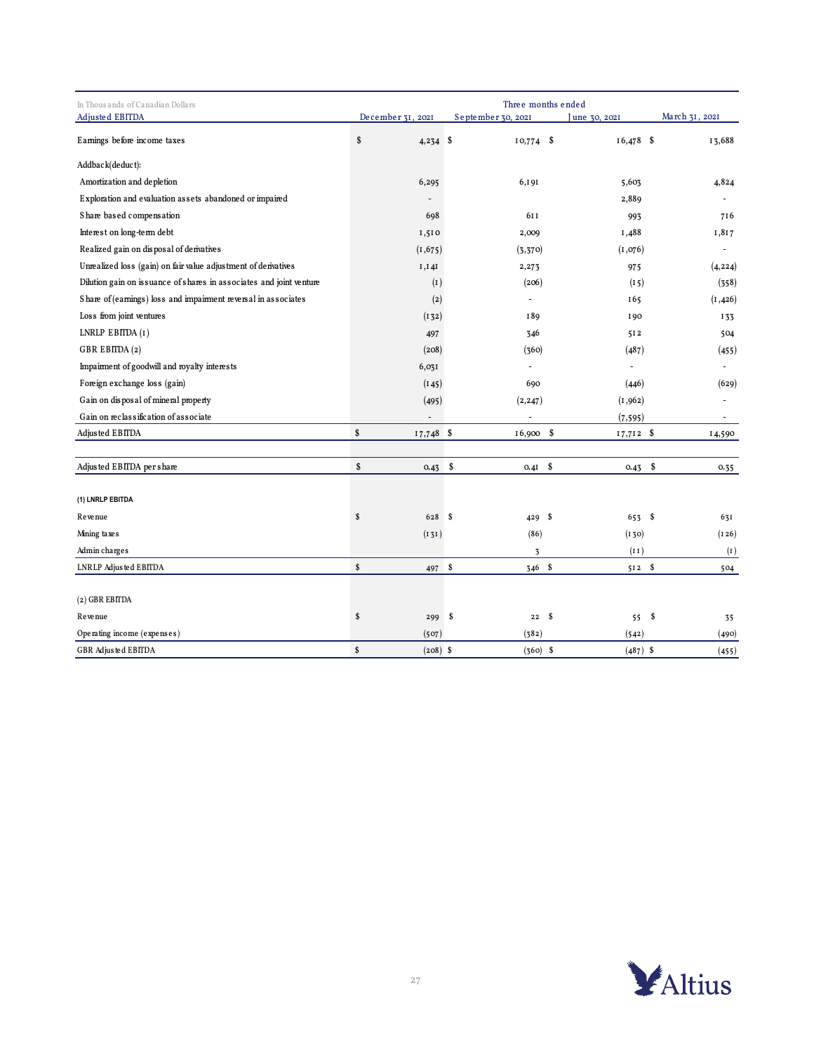| In Thous ands of Canadian Dollars                                   | Three months ended |                   |      |                    |      |              |  |                          |  |
|---------------------------------------------------------------------|--------------------|-------------------|------|--------------------|------|--------------|--|--------------------------|--|
| <b>Adjusted EBITDA</b>                                              |                    | December 31, 2021 |      | September 30, 2021 |      | une 30, 2021 |  | March 31, 2021           |  |
| Earnings before income taxes                                        | \$                 | $4,234$ \$        |      | $10,774$ \$        |      | $16,478$ \$  |  | 13,688                   |  |
| Addback(deduct):                                                    |                    |                   |      |                    |      |              |  |                          |  |
| Amortization and depletion                                          |                    | 6,295             |      | 6,191              |      | 5,603        |  | 4,824                    |  |
| Exploration and evaluation assets abandoned or impaired             |                    |                   |      |                    |      | 2,889        |  |                          |  |
| Share based compensation                                            |                    | 698               |      | 61 I               |      | 993          |  | 716                      |  |
| Interest on long-term debt                                          |                    | 1,510             |      | 2,009              |      | 1,488        |  | 1,817                    |  |
| Realized gain on disposal of derivatives                            |                    | (1, 675)          |      | (3, 370)           |      | (I, 076)     |  | $\sim$                   |  |
| Unrealized loss (gain) on fair value adjustment of derivatives      |                    | I, I, 4I          |      | 2,273              |      | 975          |  | (4, 224)                 |  |
| Dilution gain on issuance of shares in associates and joint venture |                    | (I)               |      | (206)              |      | (15)         |  | (358)                    |  |
| Share of (earnings) loss and impairment reversal in associates      |                    | $\left( 2\right)$ |      | ÷,                 |      | 165          |  | (1, 426)                 |  |
| Loss from joint ventures                                            |                    | (132)             |      | I89                |      | <b>190</b>   |  | I 33                     |  |
| LNRLP EBITDA $(I)$                                                  |                    | 497               |      | 346                |      | 512          |  | 504                      |  |
| GBR EBITDA (2)                                                      |                    | (208)             |      | (360)              |      | (487)        |  | (455)                    |  |
| Impairment of goodwill and royalty interests                        |                    | 6,031             |      | ä,                 |      | ÷,           |  | ÷,                       |  |
| Foreign exchange loss (gain)                                        |                    | (I45)             |      | 690                |      | (446)        |  | (629)                    |  |
| Gain on disposal of mineral property                                |                    | (495)             |      | (2, 247)           |      | (1,962)      |  |                          |  |
| Gain on reclassification of associate                               |                    |                   |      | ä,                 |      | (7, 595)     |  | $\overline{\phantom{a}}$ |  |
| Adjusted EBITDA                                                     | \$                 | 17,748 \$         |      | $16,900$ \$        |      | 17,712 \$    |  | 14,590                   |  |
| Adjusted EBITDA per share                                           | \$                 | 0.43              | - \$ | $0.4I$ \$          |      | $0.43$ \$    |  | 0.35                     |  |
| (1) LNRLP EBITDA                                                    |                    |                   |      |                    |      |              |  |                          |  |
| Revenue                                                             | \$                 | 628 \$            |      | 429 \$             |      | 653 \$       |  | 631                      |  |
| Mining taxes                                                        |                    | (131)             |      | (86)               |      | (130)        |  | (126)                    |  |
| Admin charges                                                       |                    |                   |      | 3                  |      | (11)         |  | (1)                      |  |
| LNRLP Adjusted EBITDA                                               | \$                 | 497 \$            |      | 346 \$             |      | 512S         |  | 504                      |  |
| (2) GBR EBITDA                                                      |                    |                   |      |                    |      |              |  |                          |  |
| Revenue                                                             | \$                 | 299               | - \$ | $\bf 2\,2$         | - \$ | 55 \$        |  | 35                       |  |
| Operating income (expenses)                                         |                    | (507)             |      | (382)              |      | (542)        |  | (490)                    |  |
| GBR Adjusted EBITDA                                                 | $\mathbf{s}$       | $(208)$ \$        |      | $(360)$ \$         |      | $(487)$ \$   |  | (455)                    |  |

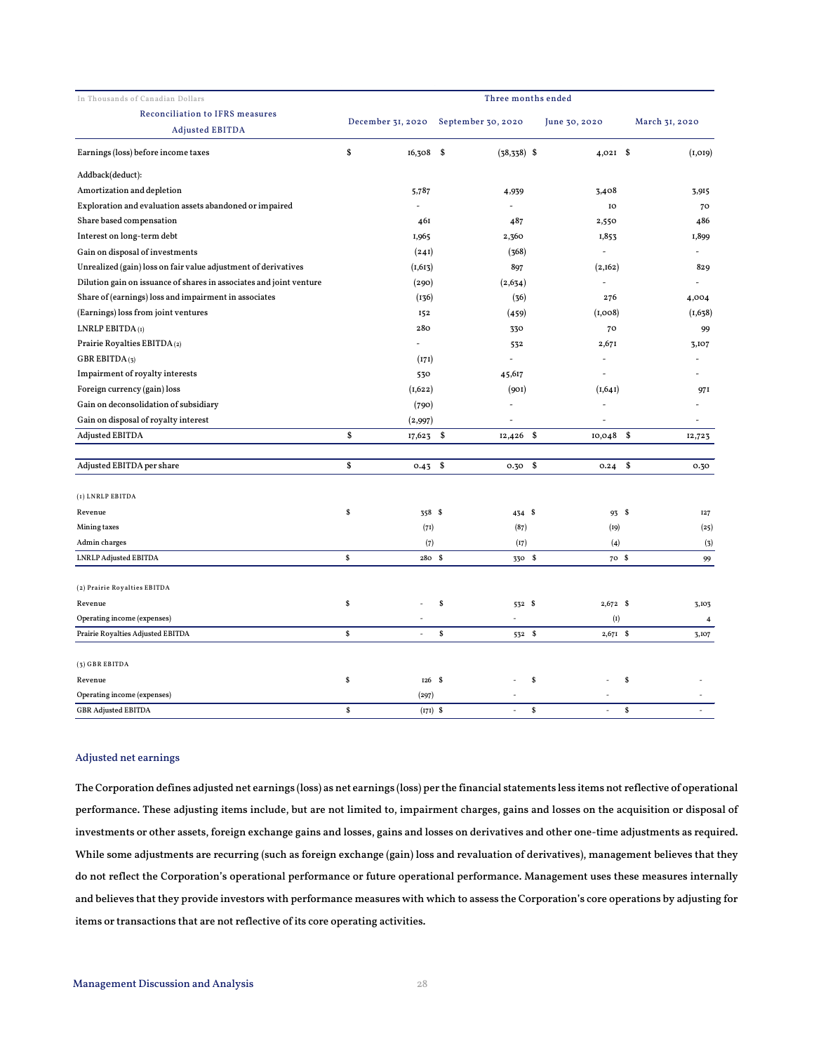| In Thousands of Canadian Dollars                                    | Three months ended |                   |    |                          |                          |                          |  |  |  |
|---------------------------------------------------------------------|--------------------|-------------------|----|--------------------------|--------------------------|--------------------------|--|--|--|
| <b>Reconciliation to IFRS measures</b>                              |                    |                   |    |                          |                          |                          |  |  |  |
| <b>Adjusted EBITDA</b>                                              |                    | December 31, 2020 |    | September 30, 2020       | June 30, 2020            | March 31, 2020           |  |  |  |
| Earnings (loss) before income taxes                                 | \$                 | $16,308$ \$       |    | $(38,338)$ \$            | $4,021$ \$               | (1,019)                  |  |  |  |
| Addback(deduct):                                                    |                    |                   |    |                          |                          |                          |  |  |  |
| Amortization and depletion                                          |                    | 5,787             |    | 4,939                    | 3,408                    | 3,915                    |  |  |  |
| Exploration and evaluation assets abandoned or impaired             |                    |                   |    |                          | IO                       | 70                       |  |  |  |
| Share based compensation                                            |                    | 461               |    | 487                      | 2,550                    | 486                      |  |  |  |
| Interest on long-term debt                                          |                    | 1,965             |    | 2,360                    | 1,853                    | I,899                    |  |  |  |
| Gain on disposal of investments                                     |                    | (241)             |    | (368)                    |                          |                          |  |  |  |
| Unrealized (gain) loss on fair value adjustment of derivatives      |                    | (1,613)           |    | 897                      | (2,162)                  | 829                      |  |  |  |
| Dilution gain on issuance of shares in associates and joint venture |                    | (290)             |    | (2,634)                  |                          |                          |  |  |  |
| Share of (earnings) loss and impairment in associates               |                    | (136)             |    | (36)                     | 276                      | 4,004                    |  |  |  |
| (Earnings) loss from joint ventures                                 |                    | 152               |    | (459)                    | (I,OO8)                  | (1,638)                  |  |  |  |
| LNRLP EBITDA (1)                                                    |                    | 280               |    | 330                      | 70                       | 99                       |  |  |  |
| Prairie Royalties EBITDA (2)                                        |                    | Ξ                 |    | 532                      | 2,671                    | 3,107                    |  |  |  |
| GBR EBITDA(3)                                                       |                    | (171)             |    |                          |                          |                          |  |  |  |
| Impairment of royalty interests                                     |                    | 530               |    | 45,617                   |                          |                          |  |  |  |
| Foreign currency (gain) loss                                        |                    | (1,622)           |    | (901)                    | (1,641)                  | 971                      |  |  |  |
| Gain on deconsolidation of subsidiary                               |                    | (790)             |    |                          |                          |                          |  |  |  |
| Gain on disposal of royalty interest                                |                    | (2,997)           |    | $\overline{\phantom{a}}$ | $\overline{\phantom{a}}$ | $\overline{\phantom{a}}$ |  |  |  |
| <b>Adjusted EBITDA</b>                                              | \$                 | 17,623            | \$ | $12,426$ \$              | 10,048                   | \$<br>12,723             |  |  |  |
|                                                                     |                    |                   |    |                          |                          |                          |  |  |  |
| Adjusted EBITDA per share                                           | \$                 | 0.43              | \$ | 0.30                     | \$<br>0.24               | \$<br>0.30               |  |  |  |
| (1) LNRLP EBITDA                                                    |                    |                   |    |                          |                          |                          |  |  |  |
| Revenue                                                             | \$                 | 358 \$            |    | 434 \$                   | 93S                      | 127                      |  |  |  |
| Mining taxes                                                        |                    | (71)              |    | (87)                     | (19)                     | (25)                     |  |  |  |
| Admin charges                                                       |                    | (7)               |    | (17)                     | (4)                      | (3)                      |  |  |  |
| <b>LNRLP Adjusted EBITDA</b>                                        | $\mathbf{s}$       | 280S              |    | 330 \$                   | 70 \$                    | 99                       |  |  |  |
| (2) Prairie Royalties EBITDA                                        |                    |                   |    |                          |                          |                          |  |  |  |
| Revenue                                                             | \$                 |                   | \$ |                          | $2,672$ \$               |                          |  |  |  |
|                                                                     |                    |                   |    | 532S<br>÷                |                          | 3,103                    |  |  |  |
| Operating income (expenses)                                         | \$                 | ä,                | \$ |                          | (I)<br>$2,67I$ \$        | 4                        |  |  |  |
| Prairie Royalties Adjusted EBITDA                                   |                    |                   |    | 532 \$                   |                          | 3,107                    |  |  |  |
| $(3)$ GBR EBITDA                                                    |                    |                   |    |                          |                          |                          |  |  |  |
| Revenue                                                             | \$                 | 126 \$            |    |                          | \$                       | \$                       |  |  |  |
| Operating income (expenses)                                         |                    | (297)             |    | ٠                        |                          |                          |  |  |  |
| <b>GBR Adjusted EBITDA</b>                                          | \$                 | $(I7I)$ \$        |    |                          | \$                       | \$                       |  |  |  |

### Adjusted net earnings

The Corporation defines adjusted net earnings (loss) as net earnings (loss) per the financial statements less items not reflective of operational performance. These adjusting items include, but are not limited to, impairment charges, gains and losses on the acquisition or disposal of investments or other assets, foreign exchange gains and losses, gains and losses on derivatives and other one-time adjustments as required. While some adjustments are recurring (such as foreign exchange (gain) loss and revaluation of derivatives), management believes that they do not reflect the Corporation's operational performance or future operational performance. Management uses these measures internally and believes that they provide investors with performance measures with which to assess the Corporation's core operations by adjusting for items or transactions that are not reflective of its core operating activities.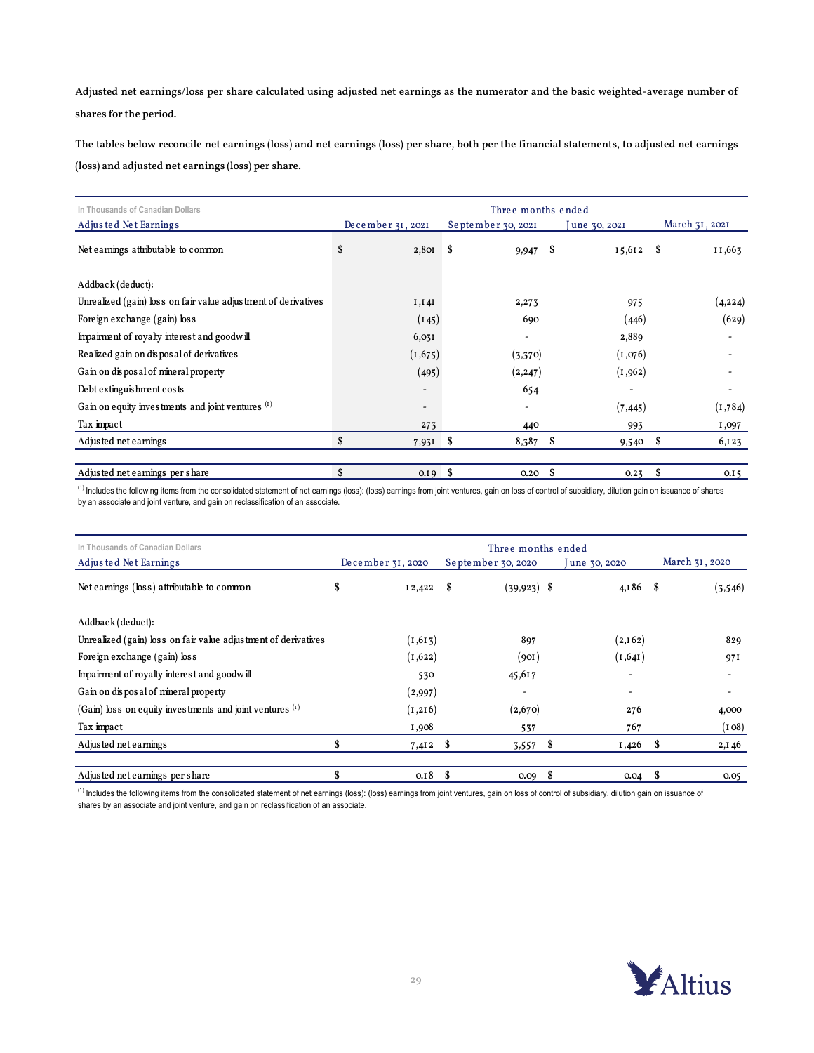Adjusted net earnings/loss per share calculated using adjusted net earnings as the numerator and the basic weighted-average number of shares for the period.

The tables below reconcile net earnings (loss) and net earnings (loss) per share, both per the financial statements, to adjusted net earnings (loss) and adjusted net earnings (loss) per share.

| In Thousands of Canadian Dollars                               |    |                   |      | Three months ended       |  |              |  |                |  |
|----------------------------------------------------------------|----|-------------------|------|--------------------------|--|--------------|--|----------------|--|
| Adjusted Net Earnings                                          |    | December 31, 2021 |      | September 30, 2021       |  | une 30, 2021 |  | March 31, 2021 |  |
| Net earnings attributable to common                            | \$ | 2,80I             | - \$ | $9,947$ \$               |  | $15,612$ \$  |  | 11,663         |  |
| Addback (deduct):                                              |    |                   |      |                          |  |              |  |                |  |
| Unrealized (gain) loss on fair value adjustment of derivatives |    | I, I, 4I          |      | 2,273                    |  | 975          |  | (4, 224)       |  |
| Foreign exchange (gain) loss                                   |    | (145)             |      | 690                      |  | (446)        |  | (629)          |  |
| Impairment of royalty interest and goodwill                    |    | 6,03I             |      | $\overline{\phantom{0}}$ |  | 2,889        |  |                |  |
| Realized gain on disposal of derivatives                       |    | (1,675)           |      | (3,370)                  |  | (1,076)      |  |                |  |
| Gain on disposal of mineral property                           |    | (495)             |      | (2, 247)                 |  | (1,962)      |  |                |  |
| Debt extinguishment costs                                      |    |                   |      | 654                      |  |              |  |                |  |
| Gain on equity investments and joint ventures (1)              |    |                   |      | $\overline{\phantom{a}}$ |  | (7, 445)     |  | (1,784)        |  |
| Tax impact                                                     |    | 273               |      | 440                      |  | 993          |  | I,097          |  |
| Adjusted net earnings                                          | \$ | $7,931$ \$        |      | $8,387$ \$               |  | $9,540$ \$   |  | 6,123          |  |
| Adjusted net earnings per share                                | \$ | $0.19$ \$         |      | 0.20                     |  | 0.23         |  | 0.15           |  |

<sup>(1)</sup> Includes the following items from the consolidated statement of net earnings (loss): (loss) earnings from joint ventures, gain on loss of control of subsidiary, dilution gain on issuance of shares by an associate and joint venture, and gain on reclassification of an associate.

| In Thousands of Canadian Dollars                               |                   | Three months ended |                    |                          |  |                          |      |                          |  |
|----------------------------------------------------------------|-------------------|--------------------|--------------------|--------------------------|--|--------------------------|------|--------------------------|--|
| Adjusted Net Earnings                                          | December 31, 2020 |                    | September 30, 2020 |                          |  | une 30, 2020             |      | March 31, 2020           |  |
| Net earnings (loss) attributable to common                     | \$                | I 2,422            | -\$                | $(39,923)$ \$            |  | 4,186 \$                 |      | (3,546)                  |  |
| Addback (deduct):                                              |                   |                    |                    |                          |  |                          |      |                          |  |
| Unrealized (gain) loss on fair value adjustment of derivatives |                   | (1, 613)           |                    | 897                      |  | (2, 162)                 |      | 829                      |  |
| Foreign exchange (gain) loss                                   |                   | (1,622)            |                    | (90I)                    |  | (1,641)                  |      | 97 I                     |  |
| Impairment of royalty interest and goodwill                    |                   | 530                |                    | 45,617                   |  | $\overline{\phantom{0}}$ |      | $\overline{\phantom{0}}$ |  |
| Gain on disposal of mineral property                           |                   | (2,997)            |                    | $\overline{\phantom{a}}$ |  | $\overline{\phantom{a}}$ |      |                          |  |
| (Gain) loss on equity investments and joint ventures (1)       |                   | (1,216)            |                    | (2,670)                  |  | 276                      |      | 4,000                    |  |
| Tax impact                                                     |                   | I,908              |                    | 537                      |  | 767                      |      | (108)                    |  |
| Adjusted net earnings                                          |                   | $7,412$ \$         |                    | $3,557$ \$               |  | 1,426                    | - \$ | 2,I 46                   |  |
| Adjusted net earnings per share                                |                   | 0.18               |                    | 0.09                     |  | 0.04                     |      | 0.05                     |  |

<sup>(1)</sup> Includes the following items from the consolidated statement of net earnings (loss): (loss) earnings from joint ventures, gain on loss of control of subsidiary, dilution gain on issuance of shares by an associate and joint venture, and gain on reclassification of an associate.

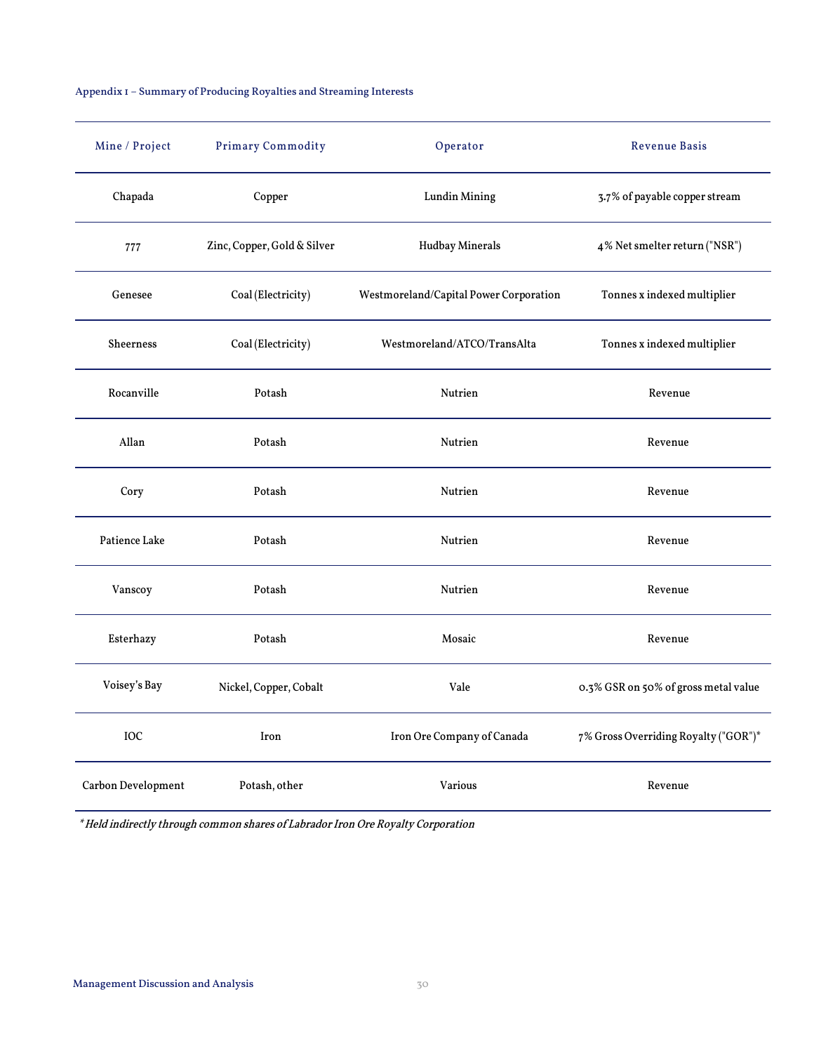# Appendix 1 – Summary of Producing Royalties and Streaming Interests

| Mine / Project     | <b>Primary Commodity</b>    | Operator                               | <b>Revenue Basis</b>                 |
|--------------------|-----------------------------|----------------------------------------|--------------------------------------|
| Chapada            | Copper                      | <b>Lundin Mining</b>                   | 3.7% of payable copper stream        |
| 777                | Zinc, Copper, Gold & Silver | <b>Hudbay Minerals</b>                 | 4% Net smelter return ("NSR")        |
| Genesee            | Coal (Electricity)          | Westmoreland/Capital Power Corporation | Tonnes x indexed multiplier          |
| Sheerness          | Coal (Electricity)          | Westmoreland/ATCO/TransAlta            | Tonnes x indexed multiplier          |
| Rocanville         | Potash                      | Nutrien                                | Revenue                              |
| Allan              | Potash                      | Nutrien                                | Revenue                              |
| Cory               | Potash                      | Nutrien                                | Revenue                              |
| Patience Lake      | Potash                      | Nutrien                                | Revenue                              |
| Vanscoy            | Potash                      | Nutrien                                | Revenue                              |
| Esterhazy          | Potash                      | Mosaic                                 | Revenue                              |
| Voisey's Bay       | Nickel, Copper, Cobalt      | Vale                                   | 0.3% GSR on 50% of gross metal value |
| IOC                | Iron                        | Iron Ore Company of Canada             | 7% Gross Overriding Royalty ("GOR")* |
| Carbon Development | Potash, other               | Various                                | Revenue                              |

\* Held indirectly through common shares of Labrador Iron Ore Royalty Corporation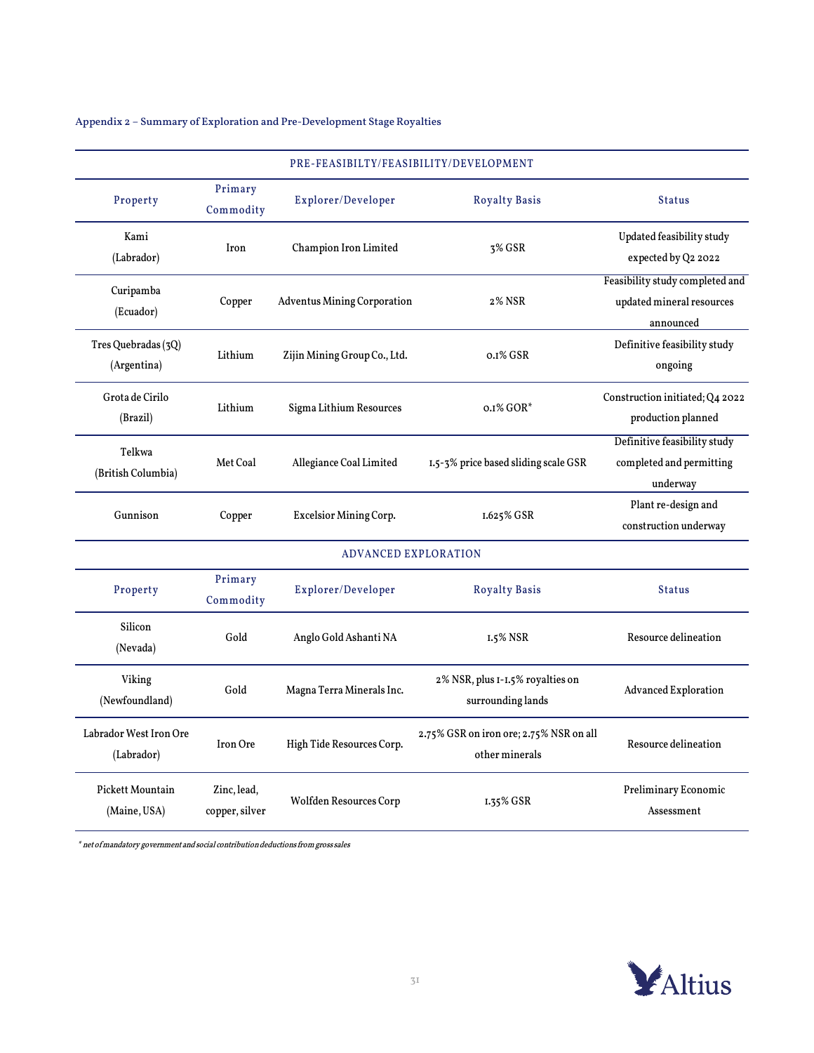# Appendix 2 – Summary of Exploration and Pre-Development Stage Royalties

| PRE-FEASIBILTY/FEASIBILITY/DEVELOPMENT |                               |                                    |                                                           |                                                                           |  |  |  |  |  |
|----------------------------------------|-------------------------------|------------------------------------|-----------------------------------------------------------|---------------------------------------------------------------------------|--|--|--|--|--|
| Property                               | Primary<br>Commodity          | Explorer/Developer                 | <b>Royalty Basis</b>                                      | <b>Status</b>                                                             |  |  |  |  |  |
| Kami<br>(Labrador)                     | Iron                          | Champion Iron Limited              | 3% GSR                                                    | Updated feasibility study<br>expected by Q2 2022                          |  |  |  |  |  |
| Curipamba<br>(Ecuador)                 | Copper                        | <b>Adventus Mining Corporation</b> | 2% NSR                                                    | Feasibility study completed and<br>updated mineral resources<br>announced |  |  |  |  |  |
| Tres Quebradas (3Q)<br>(Argentina)     | Lithium                       | Zijin Mining Group Co., Ltd.       | o.1% GSR                                                  | Definitive feasibility study<br>ongoing                                   |  |  |  |  |  |
| Grota de Cirilo<br>(Brazil)            | Lithium                       | Sigma Lithium Resources            | $0.1\%$ GOR*                                              | Construction initiated; Q4 2022<br>production planned                     |  |  |  |  |  |
| Telkwa<br>(British Columbia)           | Met Coal                      | Allegiance Coal Limited            | 1.5-3% price based sliding scale GSR                      | Definitive feasibility study<br>completed and permitting<br>underway      |  |  |  |  |  |
| Gunnison                               | Copper                        | Excelsior Mining Corp.             | 1.625% GSR                                                | Plant re-design and<br>construction underway                              |  |  |  |  |  |
|                                        |                               | <b>ADVANCED EXPLORATION</b>        |                                                           |                                                                           |  |  |  |  |  |
| Property                               | Primary<br>Commodity          | Explorer/Developer                 | <b>Royalty Basis</b>                                      | <b>Status</b>                                                             |  |  |  |  |  |
| Silicon<br>(Nevada)                    | Gold                          | Anglo Gold Ashanti NA              | 1.5% NSR                                                  | Resource delineation                                                      |  |  |  |  |  |
| Viking<br>(Newfoundland)               | Gold                          | Magna Terra Minerals Inc.          | 2% NSR, plus I-I.5% royalties on<br>surrounding lands     | <b>Advanced Exploration</b>                                               |  |  |  |  |  |
| Labrador West Iron Ore<br>(Labrador)   | Iron Ore                      | High Tide Resources Corp.          | 2.75% GSR on iron ore; 2.75% NSR on all<br>other minerals | Resource delineation                                                      |  |  |  |  |  |
| Pickett Mountain<br>(Maine, USA)       | Zinc, lead,<br>copper, silver | Wolfden Resources Corp             | 1.35% GSR                                                 | Preliminary Economic<br>Assessment                                        |  |  |  |  |  |

 $^\ast$ net of mandatory government and social contribution deductions from gross sales

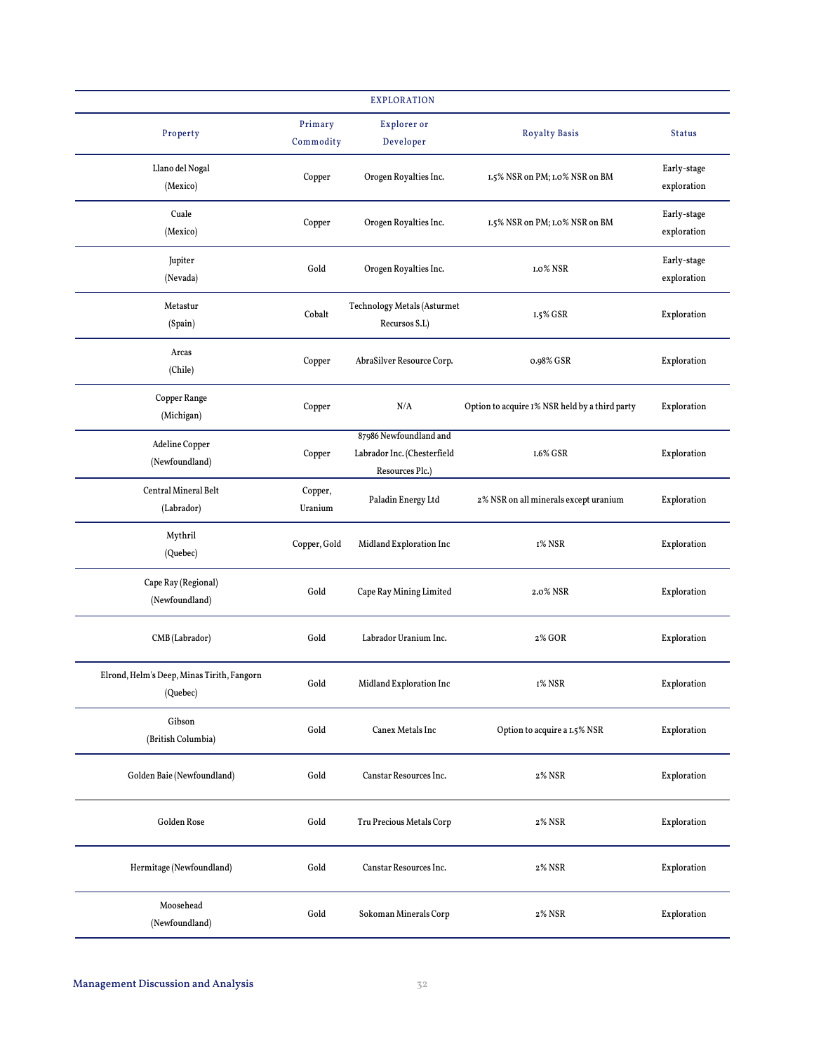|                                                        |                      | <b>EXPLORATION</b>                                                       |                                                |                            |
|--------------------------------------------------------|----------------------|--------------------------------------------------------------------------|------------------------------------------------|----------------------------|
| Property                                               | Primary<br>Commodity | Explorer or<br>Developer                                                 | <b>Royalty Basis</b>                           | <b>Status</b>              |
| Llano del Nogal<br>(Mexico)                            | Copper               | Orogen Royalties Inc.                                                    | 1.5% NSR on PM; 1.0% NSR on BM                 | Early-stage<br>exploration |
| Cuale<br>(Mexico)                                      | Copper               | Orogen Royalties Inc.                                                    | 1.5% NSR on PM; 1.0% NSR on BM                 | Early-stage<br>exploration |
| Jupiter<br>(Nevada)                                    | Gold                 | Orogen Royalties Inc.                                                    | 1.0% NSR                                       | Early-stage<br>exploration |
| Metastur<br>(Spain)                                    | Cobalt               | <b>Technology Metals (Asturmet</b><br>Recursos S.L)                      | 1.5% GSR                                       | Exploration                |
| Arcas<br>(Chile)                                       | Copper               | AbraSilver Resource Corp.                                                | 0.98% GSR                                      | Exploration                |
| Copper Range<br>(Michigan)                             | Copper               | N/A                                                                      | Option to acquire 1% NSR held by a third party | Exploration                |
| Adeline Copper<br>(Newfoundland)                       | Copper               | 87986 Newfoundland and<br>Labrador Inc. (Chesterfield<br>Resources Plc.) | 1.6% GSR                                       | Exploration                |
| Central Mineral Belt<br>(Labrador)                     | Copper,<br>Uranium   | Paladin Energy Ltd                                                       | 2% NSR on all minerals except uranium          | Exploration                |
| Mythril<br>(Quebec)                                    | Copper, Gold         | Midland Exploration Inc                                                  | 1% NSR                                         | Exploration                |
| Cape Ray (Regional)<br>(Newfoundland)                  | Gold                 | Cape Ray Mining Limited                                                  | 2.0% NSR                                       | Exploration                |
| CMB (Labrador)                                         | Gold                 | Labrador Uranium Inc.                                                    | 2% GOR                                         | Exploration                |
| Elrond, Helm's Deep, Minas Tirith, Fangorn<br>(Quebec) | Gold                 | Midland Exploration Inc                                                  | 1% NSR                                         | Exploration                |
| Gibson<br>(British Columbia)                           | Gold                 | Canex Metals Inc                                                         | Option to acquire a 1.5% NSR                   | Exploration                |
| Golden Baie (Newfoundland)                             | Gold                 | Canstar Resources Inc.                                                   | 2% NSR                                         | Exploration                |
| Golden Rose                                            | Gold                 | Tru Precious Metals Corp                                                 | 2% NSR                                         | Exploration                |
| Hermitage (Newfoundland)                               | Gold                 | Canstar Resources Inc.                                                   | 2% NSR                                         | Exploration                |
| Moosehead<br>(Newfoundland)                            | Gold                 | Sokoman Minerals Corp                                                    | 2% NSR                                         | Exploration                |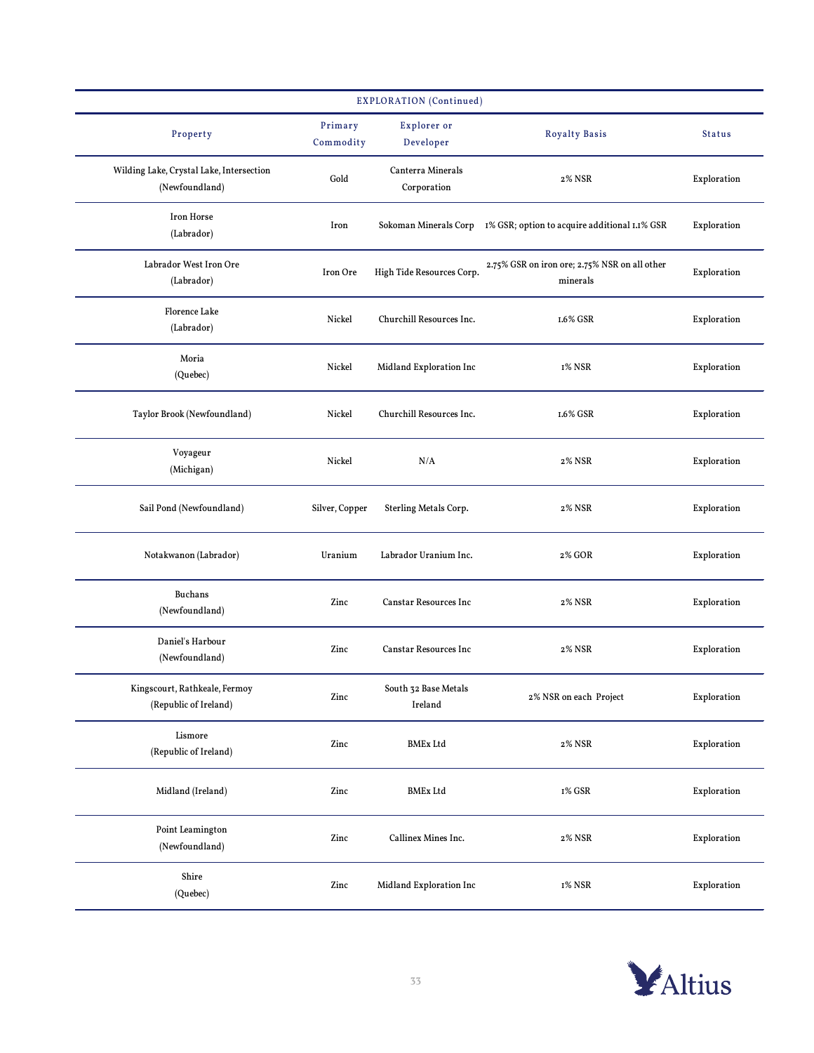| <b>EXPLORATION</b> (Continued)                             |                      |                                  |                                                           |               |  |  |  |  |  |  |
|------------------------------------------------------------|----------------------|----------------------------------|-----------------------------------------------------------|---------------|--|--|--|--|--|--|
| Property                                                   | Primary<br>Commodity | Explorer or<br>Developer         | Royalty Basis                                             | <b>Status</b> |  |  |  |  |  |  |
| Wilding Lake, Crystal Lake, Intersection<br>(Newfoundland) | Gold                 | Canterra Minerals<br>Corporation | 2% NSR                                                    | Exploration   |  |  |  |  |  |  |
| Iron Horse<br>(Labrador)                                   | Iron                 | Sokoman Minerals Corp            | 1% GSR; option to acquire additional I.I% GSR             | Exploration   |  |  |  |  |  |  |
| Labrador West Iron Ore<br>(Labrador)                       | Iron Ore             | High Tide Resources Corp.        | 2.75% GSR on iron ore; 2.75% NSR on all other<br>minerals | Exploration   |  |  |  |  |  |  |
| <b>Florence Lake</b><br>(Labrador)                         | Nickel               | Churchill Resources Inc.         | 1.6% GSR                                                  | Exploration   |  |  |  |  |  |  |
| Moria<br>(Quebec)                                          | Nickel               | Midland Exploration Inc          | 1% NSR                                                    | Exploration   |  |  |  |  |  |  |
| Taylor Brook (Newfoundland)                                | Nickel               | Churchill Resources Inc.         | 1.6% GSR                                                  | Exploration   |  |  |  |  |  |  |
| Voyageur<br>(Michigan)                                     | Nickel               | N/A                              | 2% NSR                                                    | Exploration   |  |  |  |  |  |  |
| Sail Pond (Newfoundland)                                   | Silver, Copper       | Sterling Metals Corp.            | 2% NSR                                                    | Exploration   |  |  |  |  |  |  |
| Notakwanon (Labrador)                                      | Uranium              | Labrador Uranium Inc.            | 2% GOR                                                    | Exploration   |  |  |  |  |  |  |
| Buchans<br>(Newfoundland)                                  | Zinc                 | <b>Canstar Resources Inc</b>     | 2% NSR                                                    | Exploration   |  |  |  |  |  |  |
| Daniel's Harbour<br>(Newfoundland)                         | Zinc                 | <b>Canstar Resources Inc</b>     | 2% NSR                                                    | Exploration   |  |  |  |  |  |  |
| Kingscourt, Rathkeale, Fermoy<br>(Republic of Ireland)     | $\mbox{Zinc}$        | South 32 Base Metals<br>Ireland  | 2% NSR on each Project                                    | Exploration   |  |  |  |  |  |  |
| Lismore<br>(Republic of Ireland)                           | Zinc                 | <b>BMEx Ltd</b>                  | 2% NSR                                                    | Exploration   |  |  |  |  |  |  |
| Midland (Ireland)                                          | Zinc                 | <b>BMEx Ltd</b>                  | 1% GSR                                                    | Exploration   |  |  |  |  |  |  |
| Point Leamington<br>(Newfoundland)                         | Zinc                 | Callinex Mines Inc.              | 2% NSR                                                    | Exploration   |  |  |  |  |  |  |
| Shire<br>(Quebec)                                          | Zinc                 | Midland Exploration Inc          | 1% NSR                                                    | Exploration   |  |  |  |  |  |  |